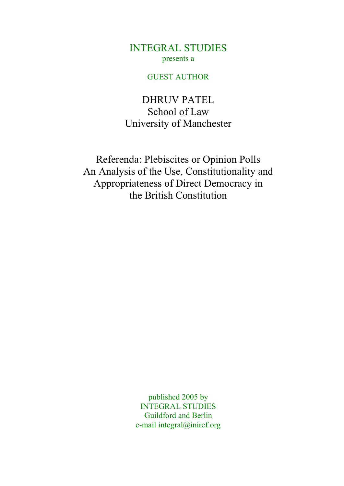INTEGRAL STUDIES presents a

#### GUEST AUTHOR

DHRUV PATEL School of Law University of Manchester

Referenda: Plebiscites or Opinion Polls An Analysis of the Use, Constitutionality and Appropriateness of Direct Democracy in the British Constitution

> published 2005 by INTEGRAL STUDIES Guildford and Berlin e-mail integral@iniref.org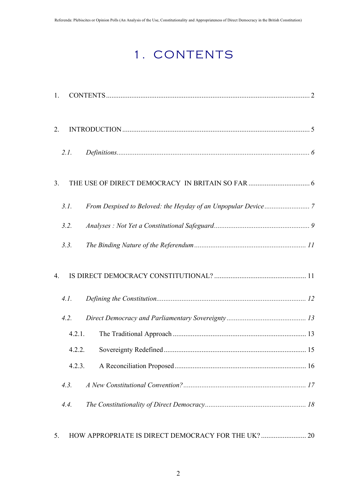# 1. CONTENTS

| 1.               |        |  |
|------------------|--------|--|
| 2.               |        |  |
|                  | 2.I.   |  |
| 3 <sub>1</sub>   |        |  |
|                  | 3.1.   |  |
|                  | 3.2.   |  |
|                  | 3.3.   |  |
| $\overline{4}$ . |        |  |
|                  | 4.1.   |  |
|                  | 4.2.   |  |
|                  | 4.2.1. |  |
|                  | 4.2.2. |  |
|                  | 4.2.3. |  |
|                  | 4.3.   |  |
|                  | 4.4.   |  |
|                  |        |  |

5. HOW APPROPRIATE IS DIRECT DEMOCRACY FOR THE UK? .............................. 20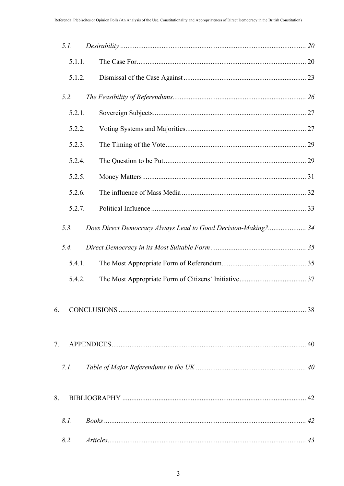|    | 5.1.   |                                                               |  |
|----|--------|---------------------------------------------------------------|--|
|    | 5.1.1. |                                                               |  |
|    | 5.1.2. |                                                               |  |
|    | 5.2.   |                                                               |  |
|    | 5.2.1. |                                                               |  |
|    | 5.2.2. |                                                               |  |
|    | 5.2.3. |                                                               |  |
|    | 5.2.4. |                                                               |  |
|    | 5.2.5. |                                                               |  |
|    | 5.2.6. |                                                               |  |
|    | 5.2.7. |                                                               |  |
|    | 5.3.   | Does Direct Democracy Always Lead to Good Decision-Making? 34 |  |
|    | 5.4.   |                                                               |  |
|    | 5.4.1. |                                                               |  |
|    | 5.4.2. |                                                               |  |
| 6. |        |                                                               |  |
| 7. |        |                                                               |  |
|    | 7.1.   |                                                               |  |
| 8. |        |                                                               |  |
|    | 8.1.   |                                                               |  |
|    | 8.2.   |                                                               |  |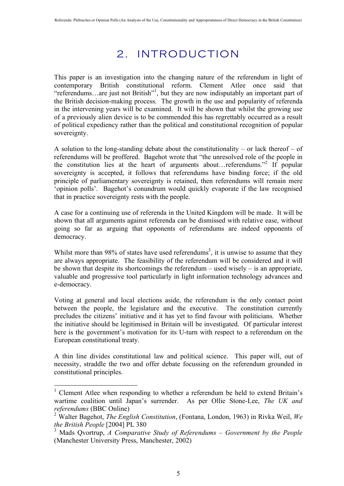## 2. INTRODUCTION

This paper is an investigation into the changing nature of the referendum in light of contemporary British constitutional reform. Clement Atlee once said that "referendums...are just not British"<sup>1</sup>, but they are now indisputably an important part of the British decision-making process. The growth in the use and popularity of referenda in the intervening years will be examined. It will be shown that whilst the growing use of a previously alien device is to be commended this has regrettably occurred as a result of political expediency rather than the political and constitutional recognition of popular sovereignty.

A solution to the long-standing debate about the constitutionality – or lack thereof – of referendums will be proffered. Bagehot wrote that "the unresolved role of the people in the constitution lies at the heart of arguments about...referendums."<sup>2</sup> If popular sovereignty is accepted, it follows that referendums have binding force; if the old principle of parliamentary sovereignty is retained, then referendums will remain mere 'opinion polls'. Bagehot's conundrum would quickly evaporate if the law recognised that in practice sovereignty rests with the people.

A case for a continuing use of referenda in the United Kingdom will be made. It will be shown that all arguments against referenda can be dismissed with relative ease, without going so far as arguing that opponents of referendums are indeed opponents of democracy.

Whilst more than 98% of states have used referendums<sup>3</sup>, it is unwise to assume that they are always appropriate. The feasibility of the referendum will be considered and it will be shown that despite its shortcomings the referendum – used wisely – is an appropriate, valuable and progressive tool particularly in light information technology advances and e-democracy.

Voting at general and local elections aside, the referendum is the only contact point between the people, the legislature and the executive. The constitution currently precludes the citizens' initiative and it has yet to find favour with politicians. Whether the initiative should be legitimised in Britain will be investigated. Of particular interest here is the government's motivation for its U-turn with respect to a referendum on the European constitutional treaty.

A thin line divides constitutional law and political science. This paper will, out of necessity, straddle the two and offer debate focussing on the referendum grounded in constitutional principles.

 $\frac{1}{1}$ <sup>1</sup> Clement Atlee when responding to whether a referendum be held to extend Britain's wartime coalition until Japan's surrender. As per Ollie Stone-Lee, *The UK and referendums* (BBC Online)

<sup>2</sup> Walter Bagehot, *The English Constitution*, (Fontana, London, 1963) in Rivka Weil, *We the British People* [2004] PL 380

<sup>&</sup>lt;sup>3</sup> Mads Qvortrup, *A Comparative Study of Referendums – Government by the People* (Manchester University Press, Manchester, 2002)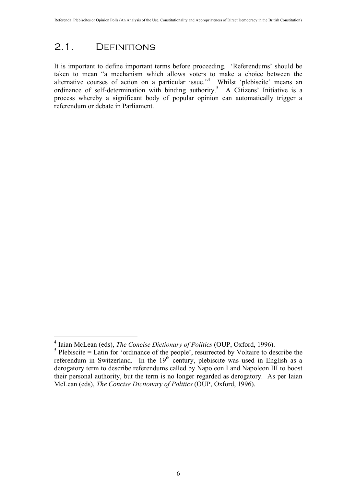### 2.1. Definitions

It is important to define important terms before proceeding. 'Referendums' should be taken to mean "a mechanism which allows voters to make a choice between the alternative courses of action on a particular issue.<sup>4</sup> Whilst 'plebiscite' means an ordinance of self-determination with binding authority.<sup>5</sup> A Citizens' Initiative is a process whereby a significant body of popular opinion can automatically trigger a referendum or debate in Parliament.

 $\frac{1}{4}$ <sup>4</sup> Iaian McLean (eds), *The Concise Dictionary of Politics* (OUP, Oxford, 1996).

 $<sup>5</sup>$  Plebiscite = Latin for 'ordinance of the people', resurrected by Voltaire to describe the</sup> referendum in Switzerland. In the 19<sup>th</sup> century, plebiscite was used in English as a derogatory term to describe referendums called by Napoleon I and Napoleon III to boost their personal authority, but the term is no longer regarded as derogatory. As per Iaian McLean (eds), *The Concise Dictionary of Politics* (OUP, Oxford, 1996).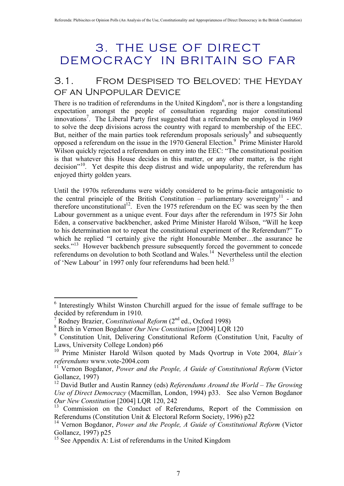# 3. THE USE OF DIRECT DEMOCRACY IN BRITAIN SO FAR

## 3.1. From Despised to Beloved: the Heyday of an Unpopular Device

There is no tradition of referendums in the United Kingdom<sup>6</sup>, nor is there a longstanding expectation amongst the people of consultation regarding major constitutional innovations<sup>7</sup>. The Liberal Party first suggested that a referendum be employed in 1969 to solve the deep divisions across the country with regard to membership of the EEC. But, neither of the main parties took referendum proposals seriously<sup>8</sup> and subsequently opposed a referendum on the issue in the 1970 General Election.<sup>9</sup> Prime Minister Harold Wilson quickly rejected a referendum on entry into the EEC: "The constitutional position is that whatever this House decides in this matter, or any other matter, is the right decision<sup>"10</sup>. Yet despite this deep distrust and wide unpopularity, the referendum has enjoyed thirty golden years.

Until the 1970s referendums were widely considered to be prima-facie antagonistic to the central principle of the British Constitution – parliamentary sovereignty<sup>11</sup> - and therefore unconstitutional<sup>12</sup>. Even the 1975 referendum on the EC was seen by the then Labour government as a unique event. Four days after the referendum in 1975 Sir John Eden, a conservative backbencher, asked Prime Minister Harold Wilson, "Will he keep to his determination not to repeat the constitutional experiment of the Referendum?" To which he replied "I certainly give the right Honourable Member…the assurance he seeks."<sup>13</sup> However backbench pressure subsequently forced the government to concede referendums on devolution to both Scotland and Wales.<sup>14</sup> Nevertheless until the election of 'New Labour' in 1997 only four referendums had been held.<sup>15</sup>

 $\frac{1}{6}$  $<sup>6</sup>$  Interestingly Whilst Winston Churchill argued for the issue of female suffrage to be</sup> decided by referendum in 1910.

<sup>&</sup>lt;sup>7</sup> Rodney Brazier, *Constitutional Reform* (2<sup>nd</sup> ed., Oxford 1998)

<sup>8</sup> Birch in Vernon Bogdanor *Our New Constitution* [2004] LQR 120

<sup>&</sup>lt;sup>9</sup> Constitution Unit, Delivering Constitutional Reform (Constitution Unit, Faculty of Laws, University College London) p66

<sup>10</sup> Prime Minister Harold Wilson quoted by Mads Qvortrup in Vote 2004, *Blair's referendums* www.vote-2004.com

<sup>&</sup>lt;sup>11"</sup> Vernon Bogdanor, *Power and the People, A Guide of Constitutional Reform* (Victor) Gollancz, 1997)

<sup>12</sup> David Butler and Austin Ranney (eds) *Referendums Around the World – The Growing Use of Direct Democracy* (Macmillan, London, 1994) p33. See also Vernon Bogdanor *Our New Constitution* [2004] LQR 120, 242

<sup>&</sup>lt;sup>13</sup> Commission on the Conduct of Referendums, Report of the Commission on Referendums (Constitution Unit & Electoral Reform Society, 1996) p22

<sup>&</sup>lt;sup>14</sup> Vernon Bogdanor, *Power and the People, A Guide of Constitutional Reform* (Victor Gollancz, 1997) p25

 $15$  See Appendix A: List of referendums in the United Kingdom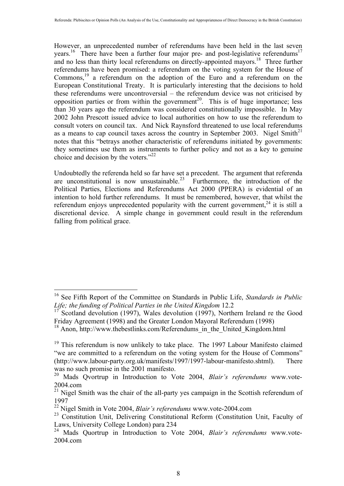However, an unprecedented number of referendums have been held in the last seven years.<sup>16</sup> There have been a further four major pre- and post-legislative referendums<sup>17</sup> and no less than thirty local referendums on directly-appointed mayors.<sup>18</sup> Three further referendums have been promised: a referendum on the voting system for the House of Commons,<sup>19</sup> a referendum on the adoption of the Euro and a referendum on the European Constitutional Treaty. It is particularly interesting that the decisions to hold these referendums were uncontroversial – the referendum device was not criticised by opposition parties or from within the government<sup>20</sup>. This is of huge importance; less than 30 years ago the referendum was considered constitutionally impossible. In May 2002 John Prescott issued advice to local authorities on how to use the referendum to consult voters on council tax. And Nick Raynsford threatened to use local referendums as a means to cap council taxes across the country in September 2003. Nigel Smith $^{21}$ notes that this "betrays another characteristic of referendums initiated by governments: they sometimes use them as instruments to further policy and not as a key to genuine choice and decision by the voters." $22$ 

Undoubtedly the referenda held so far have set a precedent. The argument that referenda are unconstitutional is now unsustainable.<sup>23</sup> Furthermore, the introduction of the Political Parties, Elections and Referendums Act 2000 (PPERA) is evidential of an intention to hold further referendums. It must be remembered, however, that whilst the referendum enjoys unprecedented popularity with the current government,  $24$  it is still a discretional device. A simple change in government could result in the referendum falling from political grace.

 <sup>16</sup> See Fifth Report of the Committee on Standards in Public Life, *Standards in Public Life; the funding of Political Parties in the United Kingdom* 12.2

 $17^{\degree}$  Scotland devolution (1997), Wales devolution (1997), Northern Ireland re the Good Friday Agreement (1998) and the Greater London Mayoral Referendum (1998)

<sup>&</sup>lt;sup>18</sup> Anon, http://www.thebestlinks.com/Referendums\_in\_the\_United\_Kingdom.html

<sup>&</sup>lt;sup>19</sup> This referendum is now unlikely to take place. The 1997 Labour Manifesto claimed "we are committed to a referendum on the voting system for the House of Commons" (http://www.labour-party.org.uk/manifests/1997/1997-labour-manifesto.shtml). There was no such promise in the 2001 manifesto.

<sup>20</sup> Mads Qvortrup in Introduction to Vote 2004, *Blair's referendums* www.vote-2004.com

<sup>&</sup>lt;sup>21</sup> Nigel Smith was the chair of the all-party yes campaign in the Scottish referendum of 1997

<sup>22</sup> Nigel Smith in Vote 2004, *Blair's referendums* www.vote-2004.com

<sup>&</sup>lt;sup>23</sup> Constitution Unit, Delivering Constitutional Reform (Constitution Unit, Faculty of Laws, University College London) para 234

<sup>24</sup> Mads Quortrup in Introduction to Vote 2004, *Blair's referendums* www.vote-2004.com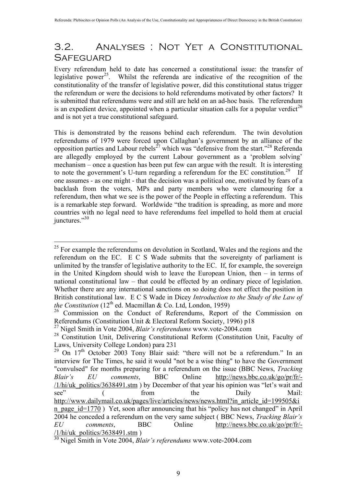## 3.2. Analyses : Not Yet a Constitutional **SAFEGUARD**

Every referendum held to date has concerned a constitutional issue: the transfer of legislative power<sup>25</sup>. Whilst the referenda are indicative of the recognition of the constitutionality of the transfer of legislative power, did this constitutional status trigger the referendum or were the decisions to hold referendums motivated by other factors? It is submitted that referendums were and still are held on an ad-hoc basis. The referendum is an expedient device, appointed when a particular situation calls for a popular verdict<sup>26</sup> and is not yet a true constitutional safeguard.

This is demonstrated by the reasons behind each referendum. The twin devolution referendums of 1979 were forced upon Callaghan's government by an alliance of the opposition parties and Labour rebels<sup>27</sup> which was "defensive from the start."<sup>28</sup> Referenda are allegedly employed by the current Labour government as a 'problem solving' mechanism – once a question has been put few can argue with the result. It is interesting to note the government's U-turn regarding a referendum for the EC constitution.<sup>29</sup> If one assumes - as one might - that the decision was a political one, motivated by fears of a backlash from the voters, MPs and party members who were clamouring for a referendum, then what we see is the power of the People in effecting a referendum. This is a remarkable step forward. Worldwide "the tradition is spreading, as more and more countries with no legal need to have referendums feel impelled to hold them at crucial junctures."30

 $25$  For example the referendums on devolution in Scotland, Wales and the regions and the referendum on the EC. E C S Wade submits that the sovereignty of parliament is unlimited by the transfer of legislative authority to the EC. If, for example, the sovereign in the United Kingdom should wish to leave the European Union, then – in terms of national constitutional law – that could be effected by an ordinary piece of legislation. Whether there are any international sanctions on so doing does not effect the position in British constitutional law. E C S Wade in Dicey *Introduction to the Study of the Law of the Constitution* ( $12<sup>th</sup>$  ed. Macmillan & Co. Ltd, London, 1959)

<sup>&</sup>lt;sup>26</sup> Commission on the Conduct of Referendums, Report of the Commission on Referendums (Constitution Unit & Electoral Reform Society, 1996) p18

<sup>27</sup> Nigel Smith in Vote 2004, *Blair's referendums* www.vote-2004.com

<sup>&</sup>lt;sup>28</sup> Constitution Unit, Delivering Constitutional Reform (Constitution Unit, Faculty of Laws, University College London) para 231

<sup>&</sup>lt;sup>29</sup> On 17<sup>th</sup> October 2003 Tony Blair said: "there will not be a referendum." In an interview for The Times, he said it would "not be a wise thing" to have the Government "convulsed" for months preparing for a referendum on the issue (BBC News, *Tracking Blair's EU comments*, BBC Online http://news.bbc.co.uk/go/pr/fr/- /1/hi/uk\_politics/3638491.stm ) by December of that year his opinion was "let's wait and see" (from the Daily Mail: http://www.dailymail.co.uk/pages/live/articles/news/news.html?in\_article\_id=199505&i n\_page\_id=1770 ) Yet, soon after announcing that his "policy has not changed" in April 2004 he conceded a referendum on the very same subject ( BBC News, *Tracking Blair's EU comments*, BBC Online http://news.bbc.co.uk/go/pr/fr/- /1/hi/uk\_politics/3638491.stm )

<sup>30</sup> Nigel Smith in Vote 2004, *Blair's referendums* www.vote-2004.com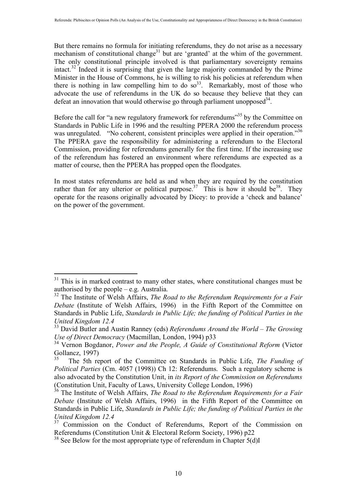But there remains no formula for initiating referendums, they do not arise as a necessary mechanism of constitutional change<sup>31</sup> but are 'granted' at the whim of the government. The only constitutional principle involved is that parliamentary sovereignty remains intact.32 Indeed it is surprising that given the large majority commanded by the Prime Minister in the House of Commons, he is willing to risk his policies at referendum when there is nothing in law compelling him to do  $\infty^{33}$ . Remarkably, most of those who advocate the use of referendums in the UK do so because they believe that they can defeat an innovation that would otherwise go through parliament unopposed  $34$ .

Before the call for "a new regulatory framework for referendums"<sup>35</sup> by the Committee on Standards in Public Life in 1996 and the resulting PPERA 2000 the referendum process was unregulated. "No coherent, consistent principles were applied in their operation."<sup>36</sup> The PPERA gave the responsibility for administering a referendum to the Electoral Commission, providing for referendums generally for the first time. If the increasing use of the referendum has fostered an environment where referendums are expected as a matter of course, then the PPERA has propped open the floodgates.

In most states referendums are held as and when they are required by the constitution rather than for any ulterior or political purpose.<sup>37</sup> This is how it should be<sup>38</sup>. They operate for the reasons originally advocated by Dicey: to provide a 'check and balance' on the power of the government.

 $31$  This is in marked contrast to many other states, where constitutional changes must be authorised by the people – e.g. Australia.

<sup>&</sup>lt;sup>32</sup> The Institute of Welsh Affairs, *The Road to the Referendum Requirements for a Fair Debate* (Institute of Welsh Affairs, 1996) in the Fifth Report of the Committee on Standards in Public Life, *Standards in Public Life; the funding of Political Parties in the United Kingdom 12.4*

<sup>33</sup> David Butler and Austin Ranney (eds) *Referendums Around the World – The Growing Use of Direct Democracy* (Macmillan, London, 1994) p33

<sup>&</sup>lt;sup>34</sup> Vernon Bogdanor, *Power and the People, A Guide of Constitutional Reform* (Victor Gollancz, 1997)

<sup>35</sup> The 5th report of the Committee on Standards in Public Life, *The Funding of Political Parties* (Cm. 4057 (1998)) Ch 12: Referendums. Such a regulatory scheme is also advocated by the Constitution Unit, in *its Report of the Commission on Referendums* (Constitution Unit, Faculty of Laws, University College London, 1996)

<sup>36</sup> The Institute of Welsh Affairs, *The Road to the Referendum Requirements for a Fair Debate* (Institute of Welsh Affairs, 1996) in the Fifth Report of the Committee on Standards in Public Life, *Standards in Public Life; the funding of Political Parties in the United Kingdom 12.4*

 $37$  Commission on the Conduct of Referendums, Report of the Commission on Referendums (Constitution Unit & Electoral Reform Society, 1996) p22

<sup>&</sup>lt;sup>38</sup> See Below for the most appropriate type of referendum in Chapter 5(d)I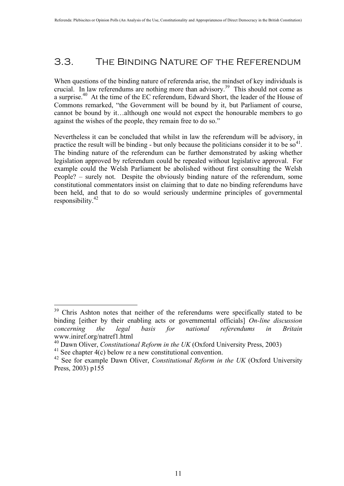## 3.3. The Binding Nature of the Referendum

When questions of the binding nature of referenda arise, the mindset of key individuals is crucial. In law referendums are nothing more than advisory.39 This should not come as a surprise.40 At the time of the EC referendum, Edward Short, the leader of the House of Commons remarked, "the Government will be bound by it, but Parliament of course, cannot be bound by it…although one would not expect the honourable members to go against the wishes of the people, they remain free to do so."

Nevertheless it can be concluded that whilst in law the referendum will be advisory, in practice the result will be binding - but only because the politicians consider it to be  $so<sup>41</sup>$ . The binding nature of the referendum can be further demonstrated by asking whether legislation approved by referendum could be repealed without legislative approval. For example could the Welsh Parliament be abolished without first consulting the Welsh People? – surely not. Despite the obviously binding nature of the referendum, some constitutional commentators insist on claiming that to date no binding referendums have been held, and that to do so would seriously undermine principles of governmental responsibility.<sup>42</sup>

<sup>&</sup>lt;sup>39</sup> Chris Ashton notes that neither of the referendums were specifically stated to be binding [either by their enabling acts or governmental officials] *On-line discussion concerning the legal basis for national referendums in Britain* www.iniref.org/natref1.html

<sup>40</sup> Dawn Oliver, *Constitutional Reform in the UK* (Oxford University Press, 2003)

<sup>&</sup>lt;sup>41</sup> See chapter  $\vec{4}$ (c) below re a new constitutional convention.

<sup>42</sup> See for example Dawn Oliver, *Constitutional Reform in the UK* (Oxford University Press, 2003) p155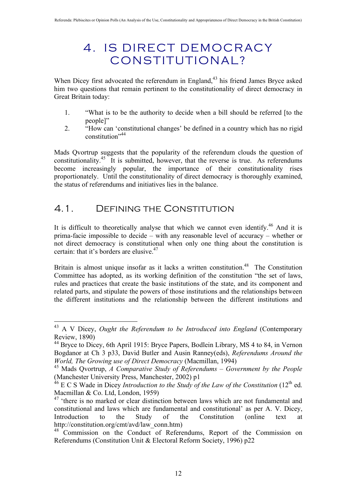# 4. IS DIRECT DEMOCRACY CONSTITUTIONAL?

When Dicey first advocated the referendum in England,<sup>43</sup> his friend James Bryce asked him two questions that remain pertinent to the constitutionality of direct democracy in Great Britain today:

- 1. "What is to be the authority to decide when a bill should be referred [to the people]"
- 2. "How can 'constitutional changes' be defined in a country which has no rigid constitution"44

Mads Qvortrup suggests that the popularity of the referendum clouds the question of constitutionality.<sup>45</sup> It is submitted, however, that the reverse is true. As referendums become increasingly popular, the importance of their constitutionality rises proportionately. Until the constitutionality of direct democracy is thoroughly examined, the status of referendums and initiatives lies in the balance.

## 4.1. Defining the Constitution

It is difficult to theoretically analyse that which we cannot even identify.<sup>46</sup> And it is prima-facie impossible to decide – with any reasonable level of accuracy – whether or not direct democracy is constitutional when only one thing about the constitution is certain: that it's borders are elusive.<sup>47</sup>

Britain is almost unique insofar as it lacks a written constitution.<sup>48</sup> The Constitution Committee has adopted, as its working definition of the constitution "the set of laws, rules and practices that create the basic institutions of the state, and its component and related parts, and stipulate the powers of those institutions and the relationships between the different institutions and the relationship between the different institutions and

 <sup>43</sup> A V Dicey, *Ought the Referendum to be Introduced into England* (Contemporary Review, 1890)

<sup>&</sup>lt;sup>44</sup> Bryce to Dicey, 6th April 1915: Bryce Papers, Bodlein Library, MS 4 to 84, in Vernon Bogdanor at Ch 3 p33, David Butler and Ausin Ranney(eds), *Referendums Around the World, The Growing use of Direct Democracy* (Macmillan, 1994)

<sup>45</sup> Mads Qvortrup, *A Comparative Study of Referendums – Government by the People* (Manchester University Press, Manchester, 2002) p1

<sup>&</sup>lt;sup>46</sup> E C S Wade in Dicey *Introduction to the Study of the Law of the Constitution* (12<sup>th</sup> ed. Macmillan & Co. Ltd, London, 1959)

<sup>&</sup>lt;sup>47</sup> 'there is no marked or clear distinction between laws which are not fundamental and constitutional and laws which are fundamental and constitutional' as per A. V. Dicey, Introduction to the Study of the Constitution (online text at http://constitution.org/cmt/avd/law\_conn.htm)

<sup>&</sup>lt;sup>48</sup> Commission on the Conduct of Referendums, Report of the Commission on Referendums (Constitution Unit & Electoral Reform Society, 1996) p22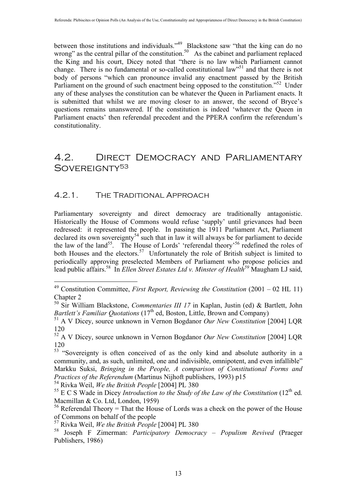between those institutions and individuals."<sup>49</sup> Blackstone saw "that the king can do no wrong" as the central pillar of the constitution.<sup>50</sup> As the cabinet and parliament replaced the King and his court, Dicey noted that "there is no law which Parliament cannot change. There is no fundamental or so-called constitutional law<sup>551</sup> and that there is not body of persons "which can pronounce invalid any enactment passed by the British Parliament on the ground of such enactment being opposed to the constitution."<sup>52</sup> Under any of these analyses the constitution can be whatever the Queen in Parliament enacts. It is submitted that whilst we are moving closer to an answer, the second of Bryce's questions remains unanswered. If the constitution is indeed 'whatever the Queen in Parliament enacts' then referendal precedent and the PPERA confirm the referendum's constitutionality.

## 4.2. Direct Democracy and Parliamentary SOVEREIGNTY<sup>53</sup>

#### 4.2.1. The Traditional Approach

Parliamentary sovereignty and direct democracy are traditionally antagonistic. Historically the House of Commons would refuse 'supply' until grievances had been redressed: it represented the people. In passing the 1911 Parliament Act, Parliament declared its own sovereignty<sup>54</sup> such that in law it will always be for parliament to decide the law of the land<sup>55</sup>. The House of Lords' 'referendal theory'<sup>56</sup> redefined the roles of both Houses and the electors.<sup>57</sup> Unfortunately the role of British subject is limited to periodically approving preselected Members of Parliament who propose policies and lead public affairs.<sup>58</sup> In *Ellen Street Estates Ltd v. Minster of Health*<sup>59</sup> Maugham LJ said,

 <sup>49</sup> Constitution Committee, *First Report, Reviewing the Constitution* (2001 – 02 HL 11) Chapter 2

<sup>50</sup> Sir William Blackstone, *Commentaries III 17* in Kaplan, Justin (ed) & Bartlett, John *Bartlett's Familiar Quotations* (17<sup>th</sup> ed, Boston, Little, Brown and Company)

<sup>51</sup> A V Dicey, source unknown in Vernon Bogdanor *Our New Constitution* [2004] LQR 120

<sup>52</sup> A V Dicey, source unknown in Vernon Bogdanor *Our New Constitution* [2004] LQR 120

<sup>&</sup>lt;sup>53</sup> "Sovereignty is often conceived of as the only kind and absolute authority in a community, and, as such, unlimited, one and indivisible, omnipotent, and even infallible" Markku Suksi, *Bringing in the People, A comparison of Constitutional Forms and Practices of the Referendum* (Martinus Nijhoft publishers, 1993) p15

<sup>54</sup> Rivka Weil, *We the British People* [2004] PL 380

<sup>&</sup>lt;sup>55</sup> E C S Wade in Dicey *Introduction to the Study of the Law of the Constitution* (12<sup>th</sup> ed. Macmillan & Co. Ltd, London, 1959)

<sup>&</sup>lt;sup>56</sup> Referendal Theory = That the House of Lords was a check on the power of the House of Commons on behalf of the people

<sup>57</sup> Rivka Weil, *We the British People* [2004] PL 380

<sup>58</sup> Joseph F Zimerman: *Participatory Democracy – Populism Revived* (Praeger Publishers, 1986)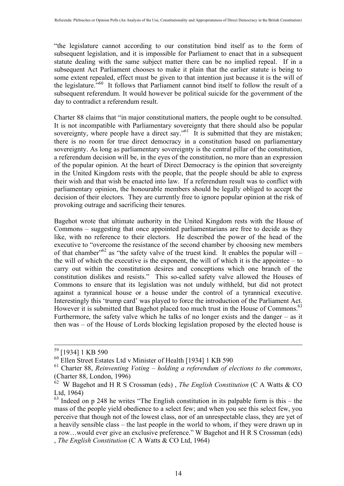"the legislature cannot according to our constitution bind itself as to the form of subsequent legislation, and it is impossible for Parliament to enact that in a subsequent statute dealing with the same subject matter there can be no implied repeal. If in a subsequent Act Parliament chooses to make it plain that the earlier statute is being to some extent repealed, effect must be given to that intention just because it is the will of the legislature."60 It follows that Parliament cannot bind itself to follow the result of a subsequent referendum. It would however be political suicide for the government of the day to contradict a referendum result.

Charter 88 claims that "in major constitutional matters, the people ought to be consulted. It is not incompatible with Parliamentary sovereignty that there should also be popular sovereignty, where people have a direct say."<sup>61</sup> It is submitted that they are mistaken; there is no room for true direct democracy in a constitution based on parliamentary sovereignty. As long as parliamentary sovereignty is the central pillar of the constitution, a referendum decision will be, in the eyes of the constitution, no more than an expression of the popular opinion. At the heart of Direct Democracy is the opinion that sovereignty in the United Kingdom rests with the people, that the people should be able to express their wish and that wish be enacted into law. If a referendum result was to conflict with parliamentary opinion, the honourable members should be legally obliged to accept the decision of their electors. They are currently free to ignore popular opinion at the risk of provoking outrage and sacrificing their tenures.

Bagehot wrote that ultimate authority in the United Kingdom rests with the House of Commons – suggesting that once appointed parliamentarians are free to decide as they like, with no reference to their electors. He described the power of the head of the executive to "overcome the resistance of the second chamber by choosing new members of that chamber"<sup>62</sup> as "the safety valve of the truest kind. It enables the popular will – the will of which the executive is the exponent, the will of which it is the appointee – to carry out within the constitution desires and conceptions which one branch of the constitution dislikes and resists." This so-called safety valve allowed the Houses of Commons to ensure that its legislation was not unduly withheld, but did not protect against a tyrannical house or a house under the control of a tyrannical executive. Interestingly this 'trump card' was played to force the introduction of the Parliament Act. However it is submitted that Bagehot placed too much trust in the House of Commons.<sup>63</sup> Furthermore, the safety valve which he talks of no longer exists and the danger – as it then was – of the House of Lords blocking legislation proposed by the elected house is

 <sup>59 [1934] 1</sup> KB 590

<sup>60</sup> Ellen Street Estates Ltd v Minister of Health [1934] 1 KB 590

<sup>61</sup> Charter 88, *Reinventing Voting – holding a referendum of elections to the commons*, (Charter 88, London, 1996)

<sup>62</sup> W Bagehot and H R S Crossman (eds) , *The English Constitution* (C A Watts & CO Ltd, 1964)

 $63$  Indeed on p 248 he writes "The English constitution in its palpable form is this – the mass of the people yield obedience to a select few; and when you see this select few, you perceive that though not of the lowest class, nor of an unrespectable class, they are yet of a heavily sensible class – the last people in the world to whom, if they were drawn up in a row…would ever give an exclusive preference." W Bagehot and H R S Crossman (eds) , *The English Constitution* (C A Watts & CO Ltd, 1964)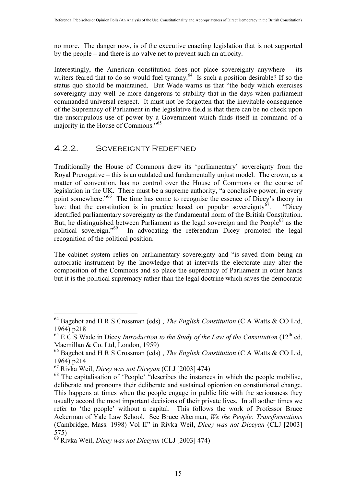no more. The danger now, is of the executive enacting legislation that is not supported by the people – and there is no valve net to prevent such an atrocity.

Interestingly, the American constitution does not place sovereignty anywhere – its writers feared that to do so would fuel tyranny.<sup>64</sup> Is such a position desirable? If so the status quo should be maintained. But Wade warns us that "the body which exercises sovereignty may well be more dangerous to stability that in the days when parliament commanded universal respect. It must not be forgotten that the inevitable consequence of the Supremacy of Parliament in the legislative field is that there can be no check upon the unscrupulous use of power by a Government which finds itself in command of a majority in the House of Commons."65

#### 4.2.2. Sovereignty Redefined

Traditionally the House of Commons drew its 'parliamentary' sovereignty from the Royal Prerogative – this is an outdated and fundamentally unjust model. The crown, as a matter of convention, has no control over the House of Commons or the course of legislation in the UK. There must be a supreme authority, "a conclusive power, in every point somewhere."<sup>66</sup> The time has come to recognise the essence of Dicey's theory in law: that the constitution is in practice based on popular sovereignty<sup>67</sup>. "Dicey" identified parliamentary sovereignty as the fundamental norm of the British Constitution. But, he distinguished between Parliament as the legal sovereign and the People<sup>68</sup> as the political sovereign.<sup>569</sup> In advocating the referendum Dicey promoted the legal In advocating the referendum Dicey promoted the legal recognition of the political position.

The cabinet system relies on parliamentary sovereignty and "is saved from being an autocratic instrument by the knowledge that at intervals the electorate may alter the composition of the Commons and so place the supremacy of Parliament in other hands but it is the political supremacy rather than the legal doctrine which saves the democratic

 <sup>64</sup> Bagehot and H R S Crossman (eds) , *The English Constitution* (C A Watts & CO Ltd, 1964) p218

 $65 \text{ E C S}$  Wade in Dicey *Introduction to the Study of the Law of the Constitution* (12<sup>th</sup> ed. Macmillan & Co. Ltd, London, 1959)

<sup>66</sup> Bagehot and H R S Crossman (eds) , *The English Constitution* (C A Watts & CO Ltd, 1964) p214

<sup>67</sup> Rivka Weil, *Dicey was not Diceyan* (CLJ [2003] 474)

<sup>68</sup> The capitalisation of 'People' "describes the instances in which the people mobilise, deliberate and pronouns their deliberate and sustained opionion on constiutional change. This happens at times when the people engage in public life with the seriousness they usually accord the most important decisions of their private lives. In all aother times we refer to 'the people' without a capital. This follows the work of Professor Bruce Ackerman of Yale Law School. See Bruce Akerman, *We the People: Transformations* (Cambridge, Mass. 1998) Vol II" in Rivka Weil, *Dicey was not Diceyan* (CLJ [2003] 575)

<sup>69</sup> Rivka Weil, *Dicey was not Diceyan* (CLJ [2003] 474)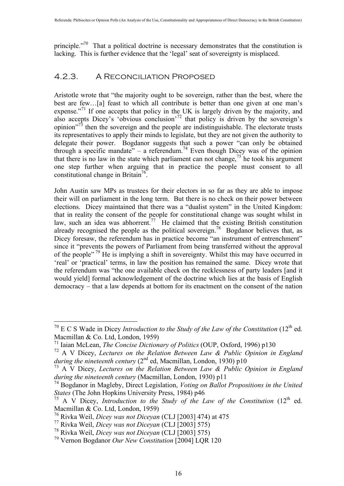principle."<sup>70</sup> That a political doctrine is necessary demonstrates that the constitution is lacking. This is further evidence that the 'legal' seat of sovereignty is misplaced.

#### 4.2.3. A Reconciliation Proposed

Aristotle wrote that "the majority ought to be sovereign, rather than the best, where the best are few…[a] feast to which all contribute is better than one given at one man's expense."<sup>71</sup> If one accepts that policy in the UK is largely driven by the majority, and also accepts Dicey's 'obvious conclusion'<sup>72</sup> that policy is driven by the sovereign's opinion"<sup>73</sup> then the sovereign and the people are indistinguishable. The electorate trusts its representatives to apply their minds to legislate, but they are not given the authority to delegate their power. Bogdanor suggests that such a power "can only be obtained through a specific mandate" – a referendum.<sup>74</sup> Even though Dicey was of the opinion that there is no law in the state which parliament can not change,<sup>75</sup> he took his argument one step further when arguing that in practice the people must consent to all constitutional change in Britain<sup>76</sup>.

John Austin saw MPs as trustees for their electors in so far as they are able to impose their will on parliament in the long term. But there is no check on their power between elections. Dicey maintained that there was a "dualist system" in the United Kingdom: that in reality the consent of the people for constitutional change was sought whilst in law, such an idea was abhorrent.<sup>77</sup> He claimed that the existing British constitution already recognised the people as the political sovereign.<sup>78</sup> Bogdanor believes that, as Dicey foresaw, the referendum has in practice become "an instrument of entrenchment" since it "prevents the powers of Parliament from being transferred without the approval of the people"<sup>79</sup> He is implying a shift in sovereignty. Whilst this may have occurred in 'real' or 'practical' terms, in law the position has remained the same. Dicey wrote that the referendum was "the one available check on the recklessness of party leaders [and it would yield] formal acknowledgement of the doctrine which lies at the basis of English democracy – that a law depends at bottom for its enactment on the consent of the nation

<sup>&</sup>lt;sup>70</sup> E C S Wade in Dicey *Introduction to the Study of the Law of the Constitution* (12<sup>th</sup> ed. Macmillan & Co. Ltd, London, 1959)

<sup>71</sup> Iaian McLean, *The Concise Dictionary of Politics* (OUP, Oxford, 1996) p130

<sup>72</sup> A V Dicey, *Lectures on the Relation Between Law & Public Opinion in England during the nineteenth century* (2<sup>nd</sup> ed, Macmillan, London, 1930) p10

<sup>73</sup> A V Dicey, *Lectures on the Relation Between Law & Public Opinion in England during the nineteenth century* (Macmillan, London, 1930) p11

<sup>74</sup> Bogdanor in Magleby, Direct Legislation, *Voting on Ballot Propositions in the United States* (The John Hopkins University Press, 1984) p46

<sup>&</sup>lt;sup>75</sup> A V Dicey, *Introduction to the Study of the Law of the Constitution* (12<sup>th</sup> ed. Macmillan & Co. Ltd, London, 1959)

<sup>76</sup> Rivka Weil, *Dicey was not Diceyan* (CLJ [2003] 474) at 475

<sup>77</sup> Rivka Weil, *Dicey was not Diceyan* (CLJ [2003] 575)

<sup>78</sup> Rivka Weil, *Dicey was not Diceyan* (CLJ [2003] 575)

<sup>79</sup> Vernon Bogdanor *Our New Constitution* [2004] LQR 120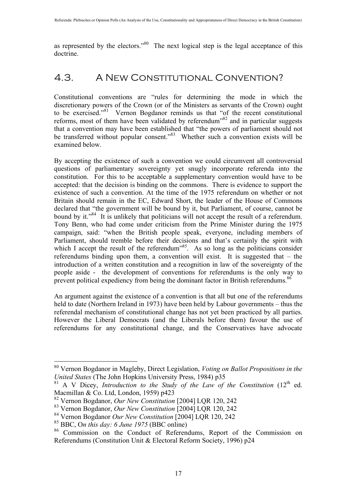as represented by the electors.<sup> $80$ </sup> The next logical step is the legal acceptance of this doctrine.

## 4.3. A New Constitutional Convention?

Constitutional conventions are "rules for determining the mode in which the discretionary powers of the Crown (or of the Ministers as servants of the Crown) ought to be exercised."<sup>81</sup> Vernon Bogdanor reminds us that "of the recent constitutional reforms, most of them have been validated by referendum<sup>382</sup> and in particular suggests that a convention may have been established that "the powers of parliament should not be transferred without popular consent."<sup>83</sup> Whether such a convention exists will be examined below.

By accepting the existence of such a convention we could circumvent all controversial questions of parliamentary sovereignty yet snugly incorporate referenda into the constitution. For this to be acceptable a supplementary convention would have to be accepted: that the decision is binding on the commons. There is evidence to support the existence of such a convention. At the time of the 1975 referendum on whether or not Britain should remain in the EC, Edward Short, the leader of the House of Commons declared that "the government will be bound by it, but Parliament, of course, cannot be bound by it."<sup>84</sup> It is unlikely that politicians will not accept the result of a referendum. Tony Benn, who had come under criticism from the Prime Minister during the 1975 campaign, said: "when the British people speak, everyone, including members of Parliament, should tremble before their decisions and that's certainly the spirit with which I accept the result of the referendum<sup>385</sup>. As so long as the politicians consider referendums binding upon them, a convention will exist. It is suggested that – the introduction of a written constitution and a recognition in law of the sovereignty of the people aside - the development of conventions for referendums is the only way to prevent political expediency from being the dominant factor in British referendums.<sup>86</sup>

An argument against the existence of a convention is that all but one of the referendums held to date (Northern Ireland in 1973) have been held by Labour governments – thus the referendal mechanism of constitutional change has not yet been practiced by all parties. However the Liberal Democrats (and the Liberals before them) favour the use of referendums for any constitutional change, and the Conservatives have advocate

 <sup>80</sup> Vernon Bogdanor in Magleby, Direct Legislation, *Voting on Ballot Propositions in the United States* (The John Hopkins University Press, 1984) p35

 $81$  A V Dicey, *Introduction to the Study of the Law of the Constitution* (12<sup>th</sup> ed. Macmillan & Co. Ltd, London, 1959) p423

<sup>82</sup> Vernon Bogdanor, *Our New Constitution* [2004] LQR 120, 242

<sup>83</sup> Vernon Bogdanor, *Our New Constitution* [2004] LQR 120, 242

<sup>84</sup> Vernon Bogdanor *Our New Constitution* [2004] LQR 120, 242

<sup>85</sup> BBC, O*n this day: 6 June 1975* (BBC online)

<sup>86</sup> Commission on the Conduct of Referendums, Report of the Commission on Referendums (Constitution Unit & Electoral Reform Society, 1996) p24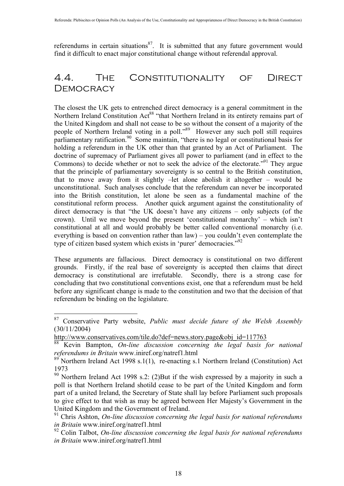referendums in certain situations $^{87}$ . It is submitted that any future government would find it difficult to enact major constitutional change without referendal approval.

## 4.4. The Constitutionality of Direct **DEMOCRACY**

The closest the UK gets to entrenched direct democracy is a general commitment in the Northern Ireland Constitution Act<sup>88</sup> "that Northern Ireland in its entirety remains part of the United Kingdom and shall not cease to be so without the consent of a majority of the people of Northern Ireland voting in a poll.<sup>89</sup> However any such poll still requires parliamentary ratification.<sup>90</sup> Some maintain, "there is no legal or constitutional basis for holding a referendum in the UK other than that granted by an Act of Parliament. The doctrine of supremacy of Parliament gives all power to parliament (and in effect to the Commons) to decide whether or not to seek the advice of the electorate."<sup>91</sup> They argue that the principle of parliamentary sovereignty is so central to the British constitution, that to move away from it slightly –let alone abolish it altogether – would be unconstitutional. Such analyses conclude that the referendum can never be incorporated into the British constitution, let alone be seen as a fundamental machine of the constitutional reform process. Another quick argument against the constitutionality of direct democracy is that "the UK doesn't have any citizens – only subjects (of the crown). Until we move beyond the present 'constitutional monarchy' – which isn't constitutional at all and would probably be better called conventional monarchy (i.e. everything is based on convention rather than law) – you couldn't even contemplate the type of citizen based system which exists in 'purer' democracies."<sup>92</sup>

These arguments are fallacious. Direct democracy is constitutional on two different grounds. Firstly, if the real base of sovereignty is accepted then claims that direct democracy is constitutional are irrefutable. Secondly, there is a strong case for concluding that two constitutional conventions exist, one that a referendum must be held before any significant change is made to the constitution and two that the decision of that referendum be binding on the legislature.

 <sup>87</sup> Conservative Party website, *Public must decide future of the Welsh Assembly* (30/11/2004)

http://www.conservatives.com/tile.do?def=news.story.page&obj\_id=117763

<sup>88</sup> Kevin Bampton, *On-line discussion concerning the legal basis for national referendums in Britain* www.iniref.org/natref1.html

 $89$ <sup>89</sup> Northern Ireland Act 1998 s.1(1), re-enacting s.1 Northern Ireland (Constitution) Act 1973

<sup>90</sup> Northern Ireland Act 1998 s.2: (2)But if the wish expressed by a majority in such a poll is that Northern Ireland shotild cease to be part of the United Kingdom and form part of a united Ireland, the Secretary of State shall lay before Parliament such proposals to give effect to that wish as may be agreed between Her Majesty's Government in the United Kingdom and the Government of Ireland.

<sup>91</sup> Chris Ashton, *On-line discussion concerning the legal basis for national referendums in Britain* www.iniref.org/natref1.html

<sup>92</sup> Colin Talbot, *On-line discussion concerning the legal basis for national referendums in Britain* www.iniref.org/natref1.html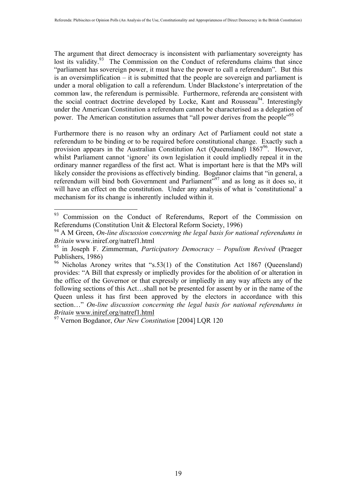The argument that direct democracy is inconsistent with parliamentary sovereignty has lost its validity.<sup>93</sup> The Commission on the Conduct of referendums claims that since "parliament has sovereign power, it must have the power to call a referendum". But this is an oversimplification – it is submitted that the people are sovereign and parliament is under a moral obligation to call a referendum. Under Blackstone's interpretation of the common law, the referendum is permissible. Furthermore, referenda are consistent with the social contract doctrine developed by Locke, Kant and Rousseau<sup>94</sup>. Interestingly under the American Constitution a referendum cannot be characterised as a delegation of power. The American constitution assumes that "all power derives from the people"<sup>95</sup>

Furthermore there is no reason why an ordinary Act of Parliament could not state a referendum to be binding or to be required before constitutional change. Exactly such a provision appears in the Australian Constitution Act (Queensland)  $1867<sup>96</sup>$ . However, whilst Parliament cannot 'ignore' its own legislation it could impliedly repeal it in the ordinary manner regardless of the first act. What is important here is that the MPs will likely consider the provisions as effectively binding. Bogdanor claims that "in general, a referendum will bind both Government and Parliament"<sup>97</sup> and as long as it does so, it will have an effect on the constitution. Under any analysis of what is 'constitutional' a mechanism for its change is inherently included within it.

<sup>&</sup>lt;sup>93</sup> Commission on the Conduct of Referendums, Report of the Commission on Referendums (Constitution Unit & Electoral Reform Society, 1996)

<sup>94</sup> A M Green, *On-line discussion concerning the legal basis for national referendums in Britain* www.iniref.org/natref1.html

<sup>95</sup> in Joseph F. Zimmerman, *Participatory Democracy – Populism Revived* (Praeger Publishers, 1986)

<sup>&</sup>lt;sup>96</sup> Nicholas Aroney writes that "s.53(1) of the Constitution Act 1867 (Queensland) provides: "A Bill that expressly or impliedly provides for the abolition of or alteration in the office of the Governor or that expressly or impliedly in any way affects any of the following sections of this Act…shall not be presented for assent by or in the name of the Queen unless it has first been approved by the electors in accordance with this section…" *On-line discussion concerning the legal basis for national referendums in Britain* www.iniref.org/natref1.html

<sup>97</sup> Vernon Bogdanor, *Our New Constitution* [2004] LQR 120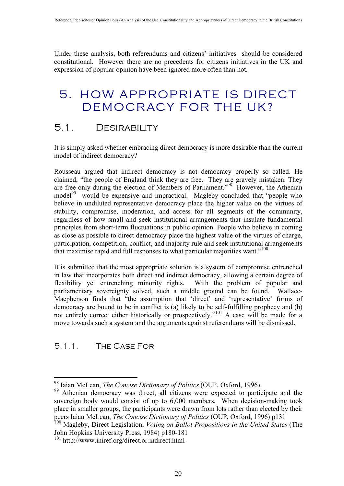Under these analysis, both referendums and citizens' initiatives should be considered constitutional. However there are no precedents for citizens initiatives in the UK and expression of popular opinion have been ignored more often than not.

## 5. HOW APPROPRIATE IS DIRECT DEMOCRACY FOR THE UK?

## 5.1. Desirability

It is simply asked whether embracing direct democracy is more desirable than the current model of indirect democracy?

Rousseau argued that indirect democracy is not democracy properly so called. He claimed, "the people of England think they are free. They are gravely mistaken. They are free only during the election of Members of Parliament."<sup>98</sup> However, the Athenian model<sup>99</sup> would be expensive and impractical. Magleby concluded that "people who believe in undiluted representative democracy place the higher value on the virtues of stability, compromise, moderation, and access for all segments of the community, regardless of how small and seek institutional arrangements that insulate fundamental principles from short-term fluctuations in public opinion. People who believe in coming as close as possible to direct democracy place the highest value of the virtues of charge, participation, competition, conflict, and majority rule and seek institutional arrangements that maximise rapid and full responses to what particular majorities want."<sup>100</sup>

It is submitted that the most appropriate solution is a system of compromise entrenched in law that incorporates both direct and indirect democracy, allowing a certain degree of flexibility yet entrenching minority rights. With the problem of popular and parliamentary sovereignty solved, such a middle ground can be found. Wallace-Macpherson finds that "the assumption that 'direct' and 'representative' forms of democracy are bound to be in conflict is (a) likely to be self-fulfilling prophecy and (b) not entirely correct either historically or prospectively."<sup>101</sup> A case will be made for a move towards such a system and the arguments against referendums will be dismissed.

#### 5.1.1. The Case For

 <sup>98</sup> Iaian McLean, *The Concise Dictionary of Politics* (OUP, Oxford, 1996)

<sup>&</sup>lt;sup>99</sup> Athenian democracy was direct, all citizens were expected to participate and the sovereign body would consist of up to 6,000 members. When decision-making took place in smaller groups, the participants were drawn from lots rather than elected by their peers Iaian McLean, *The Concise Dictionary of Politics* (OUP, Oxford, 1996) p131

<sup>100</sup> Magleby, Direct Legislation, *Voting on Ballot Propositions in the United States* (The John Hopkins University Press, 1984) p180-181

<sup>101</sup> http://www.iniref.org/direct.or.indirect.html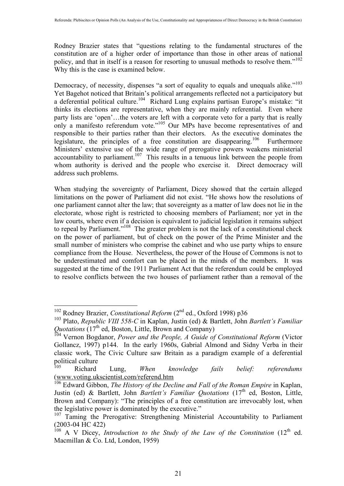Rodney Brazier states that "questions relating to the fundamental structures of the constitution are of a higher order of importance than those in other areas of national policy, and that in itself is a reason for resorting to unusual methods to resolve them."102 Why this is the case is examined below.

Democracy, of necessity, dispenses "a sort of equality to equals and unequals alike."<sup>103</sup> Yet Bagehot noticed that Britain's political arrangements reflected not a participatory but a deferential political culture.<sup>104</sup> Richard Lung explains partisan Europe's mistake: "it thinks its elections are representative, when they are mainly referential. Even where party lists are 'open'…the voters are left with a corporate veto for a party that is really only a manifesto referendum vote."<sup>105</sup> Our MPs have become representatives of and responsible to their parties rather than their electors. As the executive dominates the legislature, the principles of a free constitution are disappearing.<sup>106</sup> Furthermore Ministers' extensive use of the wide range of prerogative powers weakens ministerial accountability to parliament.<sup>107</sup> This results in a tenuous link between the people from whom authority is derived and the people who exercise it. Direct democracy will address such problems.

When studying the sovereignty of Parliament, Dicey showed that the certain alleged limitations on the power of Parliament did not exist. "He shows how the resolutions of one parliament cannot alter the law; that sovereignty as a matter of law does not lie in the electorate, whose right is restricted to choosing members of Parliament; nor yet in the law courts, where even if a decision is equivalent to judicial legislation it remains subject to repeal by Parliament."<sup>108</sup> The greater problem is not the lack of a constitutional check on the power of parliament, but of check on the power of the Prime Minister and the small number of ministers who comprise the cabinet and who use party whips to ensure compliance from the House. Nevertheless, the power of the House of Commons is not to be underestimated and comfort can be placed in the minds of the members. It was suggested at the time of the 1911 Parliament Act that the referendum could be employed to resolve conflicts between the two houses of parliament rather than a removal of the

<sup>&</sup>lt;sup>102</sup> Rodney Brazier, *Constitutional Reform* (2<sup>nd</sup> ed., Oxford 1998) p36

<sup>103</sup> Plato, *Republic VIII 558-C* in Kaplan, Justin (ed) & Bartlett, John *Bartlett's Familiar Quotations* (17<sup>th</sup> ed, Boston, Little, Brown and Company)

<sup>104</sup> Vernon Bogdanor, *Power and the People, A Guide of Constitutional Reform* (Victor Gollancz, 1997) p144. In the early 1960s, Gabrial Almond and Sidny Verba in their classic work, The Civic Culture saw Britain as a paradigm example of a deferential political culture

<sup>105</sup> Richard Lung, *When knowledge fails belief: referendums* (www.voting.ukscientist.com/referend.htm

<sup>&</sup>lt;sup>106</sup> Edward Gibbon, *The History of the Decline and Fall of the Roman Empire* in Kaplan, Justin (ed) & Bartlett, John *Bartlett's Familiar Quotations* (17<sup>th</sup> ed, Boston, Little, Brown and Company): "The principles of a free constitution are irrevocably lost, when the legislative power is dominated by the executive."

<sup>&</sup>lt;sup>107</sup> Taming the Prerogative: Strengthening Ministerial Accountability to Parliament (2003-04 HC 422)

 $108$  A V Dicey, *Introduction to the Study of the Law of the Constitution* (12<sup>th</sup> ed. Macmillan & Co. Ltd, London, 1959)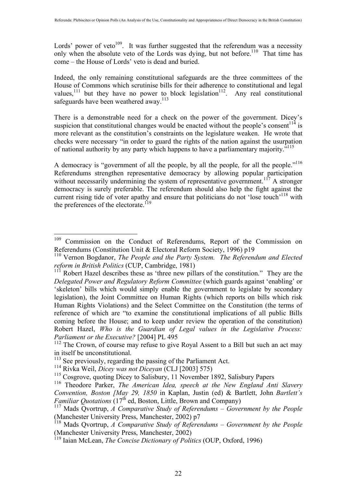Lords' power of veto<sup>109</sup>. It was further suggested that the referendum was a necessity only when the absolute veto of the Lords was dying, but not before.<sup>110</sup> That time has come – the House of Lords' veto is dead and buried.

Indeed, the only remaining constitutional safeguards are the three committees of the House of Commons which scrutinise bills for their adherence to constitutional and legal values,<sup>111</sup> but they have no power to block legislation<sup>112</sup>. Any real constitutional safeguards have been weathered away.<sup>113</sup>

There is a demonstrable need for a check on the power of the government. Dicey's suspicion that constitutional changes would be enacted without the people's consent<sup> $114$ </sup> is more relevant as the constitution's constraints on the legislature weaken. He wrote that checks were necessary "in order to guard the rights of the nation against the usurpation of national authority by any party which happens to have a parliamentary majority."115

A democracy is "government of all the people, by all the people, for all the people."<sup>116</sup> Referendums strengthen representative democracy by allowing popular participation without necessarily undermining the system of representative government.<sup>117</sup> A stronger democracy is surely preferable. The referendum should also help the fight against the current rising tide of voter apathy and ensure that politicians do not 'lose touch'<sup>118</sup> with the preferences of the electorate.<sup>119</sup>

<sup>&</sup>lt;sup>109</sup> Commission on the Conduct of Referendums, Report of the Commission on Referendums (Constitution Unit & Electoral Reform Society, 1996) p19

<sup>110</sup> Vernon Bogdanor, *The People and the Party System. The Referendum and Elected reform in British Politics* (CUP, Cambridge, 1981)

<sup>&</sup>lt;sup>111</sup> Robert Hazel describes these as 'three new pillars of the constitution." They are the *Delegated Power and Regulatory Reform Committee* (which guards against 'enabling' or 'skeleton' bills which would simply enable the government to legislate by secondary legislation), the Joint Committee on Human Rights (which reports on bills which risk Human Rights Violations) and the Select Committee on the Constitution (the terms of reference of which are "to examine the constitutional implications of all public Bills coming before the House; and to keep under review the operation of the constitution) Robert Hazel, *Who is the Guardian of Legal values in the Legislative Process: Parliament or the Executive?* [2004] PL 495

<sup>&</sup>lt;sup>112</sup> The Crown, of course may refuse to give Royal Assent to a Bill but such an act may in itself be unconstitutional.

<sup>&</sup>lt;sup>113</sup> See previously, regarding the passing of the Parliament Act.

<sup>114</sup> Rivka Weil, *Dicey was not Diceyan* (CLJ [2003] 575)

<sup>&</sup>lt;sup>115</sup> Cosgrove, quoting Dicey to Salisbury, 11 November 1892, Salisbury Papers

<sup>116</sup> Theodore Parker, *The American Idea, speech at the New England Anti Slavery Convention, Boston [May 29, 1850* in Kaplan, Justin (ed) & Bartlett, John *Bartlett's Familiar Quotations* (17<sup>th</sup> ed, Boston, Little, Brown and Company)

<sup>117</sup> Mads Qvortrup, *A Comparative Study of Referendums – Government by the People* (Manchester University Press, Manchester, 2002) p7

<sup>118</sup> Mads Qvortrup, *A Comparative Study of Referendums – Government by the People* (Manchester University Press, Manchester, 2002)

<sup>119</sup> Iaian McLean, *The Concise Dictionary of Politics* (OUP, Oxford, 1996)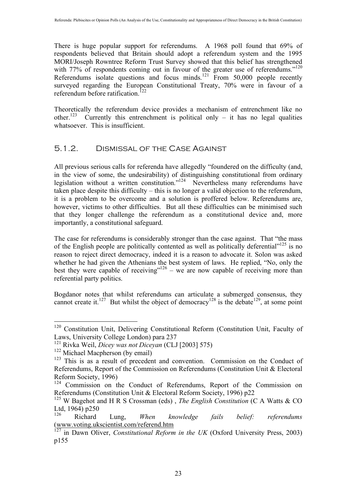There is huge popular support for referendums. A 1968 poll found that 69% of respondents believed that Britain should adopt a referendum system and the 1995 MORI/Joseph Rowntree Reform Trust Survey showed that this belief has strengthened with 77% of respondents coming out in favour of the greater use of referendums."<sup>120</sup> Referendums isolate questions and focus minds.<sup>121</sup> From 50,000 people recently surveyed regarding the European Constitutional Treaty, 70% were in favour of a referendum before ratification.<sup> $122$ </sup>

Theoretically the referendum device provides a mechanism of entrenchment like no other.<sup>123</sup> Currently this entrenchment is political only – it has no legal qualities whatsoever. This is insufficient.

#### 5.1.2. Dismissal of the Case Against

All previous serious calls for referenda have allegedly "foundered on the difficulty (and, in the view of some, the undesirability) of distinguishing constitutional from ordinary legislation without a written constitution."<sup>124</sup> Nevertheless many referendums have taken place despite this difficulty – this is no longer a valid objection to the referendum, it is a problem to be overcome and a solution is proffered below. Referendums are, however, victims to other difficulties. But all these difficulties can be minimised such that they longer challenge the referendum as a constitutional device and, more importantly, a constitutional safeguard.

The case for referendums is considerably stronger than the case against. That "the mass of the English people are politically contented as well as politically deferential"<sup>125</sup> is no reason to reject direct democracy, indeed it is a reason to advocate it. Solon was asked whether he had given the Athenians the best system of laws. He replied, "No, only the best they were capable of receiving"<sup>126</sup> – we are now capable of receiving more than referential party politics.

Bogdanor notes that whilst referendums can articulate a submerged consensus, they cannot create it.<sup>127</sup> But whilst the object of democracy<sup>128</sup> is the debate<sup>129</sup>, at some point

<sup>&</sup>lt;sup>120</sup> Constitution Unit, Delivering Constitutional Reform (Constitution Unit, Faculty of Laws, University College London) para 237

<sup>121</sup> Rivka Weil, *Dicey was not Diceyan* (CLJ [2003] 575)

<sup>&</sup>lt;sup>122</sup> Michael Macpherson (by email)

 $123$  This is as a result of precedent and convention. Commission on the Conduct of Referendums, Report of the Commission on Referendums (Constitution Unit & Electoral Reform Society, 1996)

<sup>&</sup>lt;sup>124</sup> Commission on the Conduct of Referendums, Report of the Commission on Referendums (Constitution Unit & Electoral Reform Society, 1996) p22

<sup>125</sup> W Bagehot and H R S Crossman (eds) , *The English Constitution* (C A Watts & CO Ltd, 1964) p250

<sup>126</sup> Richard Lung, *When knowledge fails belief: referendums* (www.voting.ukscientist.com/referend.htm

<sup>&</sup>lt;sup>127</sup> in Dawn Oliver, *Constitutional Reform in the UK* (Oxford University Press, 2003) p155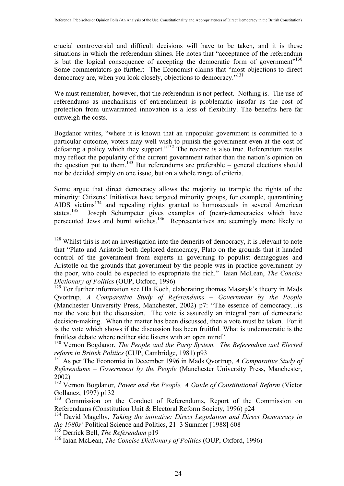crucial controversial and difficult decisions will have to be taken, and it is these situations in which the referendum shines. He notes that "acceptance of the referendum is but the logical consequence of accepting the democratic form of government $130$ Some commentators go further: The Economist claims that "most objections to direct democracy are, when you look closely, objections to democracy."131

We must remember, however, that the referendum is not perfect. Nothing is. The use of referendums as mechanisms of entrenchment is problematic insofar as the cost of protection from unwarranted innovation is a loss of flexibility. The benefits here far outweigh the costs.

Bogdanor writes, "where it is known that an unpopular government is committed to a particular outcome, voters may well wish to punish the government even at the cost of defeating a policy which they support."<sup>132</sup> The reverse is also true. Referendum results may reflect the popularity of the current government rather than the nation's opinion on the question put to them.<sup>133</sup> But referendums are preferable – general elections should not be decided simply on one issue, but on a whole range of criteria.

Some argue that direct democracy allows the majority to trample the rights of the minority: Citizens' Initiatives have targeted minority groups, for example, quarantining AIDS victims<sup>134</sup> and repealing rights granted to homosexuals in several American states.<sup>135</sup> Joseph Schumpeter gives examples of (near)-democracies which have Joseph Schumpeter gives examples of (near)-democracies which have persecuted Jews and burnt witches.<sup>136</sup> Representatives are seemingly more likely to

130 Vernon Bogdanor, *The People and the Party System. The Referendum and Elected reform in British Politics* (CUP, Cambridge, 1981) p93

131 As per The Economist in December 1996 in Mads Qvortrup, *A Comparative Study of Referendums – Government by the People* (Manchester University Press, Manchester, 2002)

132 Vernon Bogdanor, *Power and the People, A Guide of Constitutional Reform* (Victor Gollancz, 1997) p132

<sup>133</sup> Commission on the Conduct of Referendums, Report of the Commission on Referendums (Constitution Unit & Electoral Reform Society, 1996) p24

<sup>134</sup> David Magelby, *Taking the initiative: Direct Legislation and Direct Democracy in the 1980s'* Political Science and Politics, 21 3 Summer [1988] 608

135 Derrick Bell, *The Referendum* p19

136 Iaian McLean, *The Concise Dictionary of Politics* (OUP, Oxford, 1996)

<sup>&</sup>lt;sup>128</sup> Whilst this is not an investigation into the demerits of democracy, it is relevant to note that "Plato and Aristotle both deplored democracy, Plato on the grounds that it handed control of the government from experts in governing to populist demagogues and Aristotle on the grounds that government by the people was in practice government by the poor, who could be expected to expropriate the rich." Iaian McLean, *The Concise Dictionary of Politics* (OUP, Oxford, 1996)

<sup>&</sup>lt;sup>129</sup> For further information see Hla Koch, elaborating thomas Masaryk's theory in Mads Qvortrup, *A Comparative Study of Referendums – Government by the People* (Manchester University Press, Manchester, 2002) p7: "The essence of democracy…is not the vote but the discussion. The vote is assuredly an integral part of democratic decision-making. When the matter has been discussed, then a vote must be taken. For it is the vote which shows if the discussion has been fruitful. What is undemocratic is the fruitless debate where neither side listens with an open mind"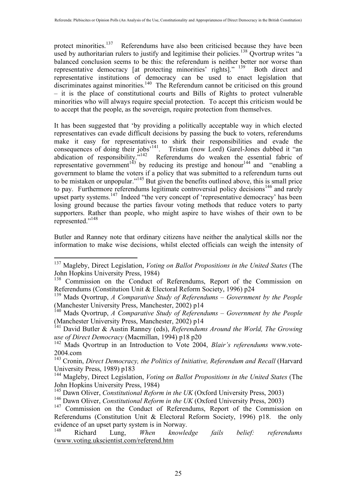protect minorities.<sup>137</sup> Referendums have also been criticised because they have been used by authoritarian rulers to justify and legitimise their policies.<sup>138</sup> Ovortrup writes "a balanced conclusion seems to be this: the referendum is neither better nor worse than representative democracy [at protecting minorities' rights]." 139 Both direct and representative institutions of democracy can be used to enact legislation that discriminates against minorities.<sup>140</sup> The Referendum cannot be criticised on this ground – it is the place of constitutional courts and Bills of Rights to protect vulnerable minorities who will always require special protection. To accept this criticism would be to accept that the people, as the sovereign, require protection from themselves.

It has been suggested that 'by providing a politically acceptable way in which elected representatives can evade difficult decisions by passing the buck to voters, referendums make it easy for representatives to shirk their responsibilities and evade the consequences of doing their jobs'<sup>141</sup>. Tristan (now Lord) Garel-Jones dubbed it "an abdication of responsibility."<sup>142</sup> Referendums do weaken the essential fabric of representative government<sup>143</sup> by reducing its prestige and honour<sup>144</sup> and "enabling a government to blame the voters if a policy that was submitted to a referendum turns out to be mistaken or unpopular."<sup>145</sup> But given the benefits outlined above, this is small price to pay. Furthermore referendums legitimate controversial policy decisions<sup>146</sup> and rarely upset party systems.<sup>147</sup> Indeed "the very concept of 'representative democracy' has been losing ground because the parties favour voting methods that reduce voters to party supporters. Rather than people, who might aspire to have wishes of their own to be represented."148

Butler and Ranney note that ordinary citizens have neither the analytical skills nor the information to make wise decisions, whilst elected officials can weigh the intensity of

 <sup>137</sup> Magleby, Direct Legislation, *Voting on Ballot Propositions in the United States* (The John Hopkins University Press, 1984)

<sup>&</sup>lt;sup>138</sup> Commission on the Conduct of Referendums, Report of the Commission on Referendums (Constitution Unit & Electoral Reform Society, 1996) p24

<sup>139</sup> Mads Qvortrup, *A Comparative Study of Referendums – Government by the People* (Manchester University Press, Manchester, 2002) p14

<sup>140</sup> Mads Qvortrup, *A Comparative Study of Referendums – Government by the People* (Manchester University Press, Manchester, 2002) p14

<sup>141</sup> David Butler & Austin Ranney (eds), *Referendums Around the World, The Growing use of Direct Democracy* (Macmillan, 1994) p18 p20

<sup>142</sup> Mads Qvortrup in an Introduction to Vote 2004, *Blair's referendums* www.vote-2004.com

<sup>143</sup> Cronin, *Direct Democracy, the Politics of Initiative, Referendum and Recall* (Harvard University Press, 1989) p183

<sup>144</sup> Magleby, Direct Legislation, *Voting on Ballot Propositions in the United States* (The John Hopkins University Press, 1984)

<sup>145</sup> Dawn Oliver, *Constitutional Reform in the UK* (Oxford University Press, 2003)

<sup>146</sup> Dawn Oliver, *Constitutional Reform in the UK* (Oxford University Press, 2003)

<sup>&</sup>lt;sup>147</sup> Commission on the Conduct of Referendums, Report of the Commission on Referendums (Constitution Unit & Electoral Reform Society, 1996) p18. the only evidence of an upset party system is in Norway.<br><sup>148</sup> Pichard Lung When knowle

<sup>148</sup> Richard Lung, *When knowledge fails belief: referendums* (www.voting.ukscientist.com/referend.htm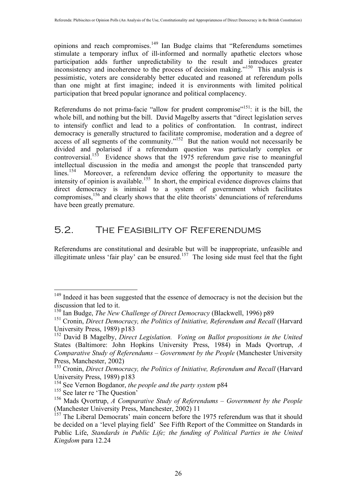opinions and reach compromises.149 Ian Budge claims that "Referendums sometimes stimulate a temporary influx of ill-informed and normally apathetic electors whose participation adds further unpredictability to the result and introduces greater inconsistency and incoherence to the process of decision making."<sup>150</sup> This analysis is pessimistic, voters are considerably better educated and reasoned at referendum polls than one might at first imagine; indeed it is environments with limited political participation that breed popular ignorance and political complacency.

Referendums do not prima-facie "allow for prudent compromise"<sup>151</sup>: it is the bill, the whole bill, and nothing but the bill. David Magelby asserts that "direct legislation serves to intensify conflict and lead to a politics of confrontation. In contrast, indirect democracy is generally structured to facilitate compromise, moderation and a degree of access of all segments of the community."<sup>152</sup> But the nation would not necessarily be divided and polarised if a referendum question was particularly complex or controversial.<sup>153</sup> Evidence shows that the 1975 referendum gave rise to meaningful intellectual discussion in the media and amongst the people that transcended party lines.<sup>154</sup> Moreover, a referendum device offering the opportunity to measure the intensity of opinion is available.<sup>155</sup> In short, the empirical evidence disproves claims that direct democracy is inimical to a system of government which facilitates compromises,<sup>156</sup> and clearly shows that the elite theorists' denunciations of referendums have been greatly premature.

## 5.2. The Feasibility of Referendums

Referendums are constitutional and desirable but will be inappropriate, unfeasible and illegitimate unless 'fair play' can be ensured.<sup>157</sup> The losing side must feel that the fight

<sup>&</sup>lt;sup>149</sup> Indeed it has been suggested that the essence of democracy is not the decision but the discussion that led to it.

<sup>150</sup> Ian Budge, *The New Challenge of Direct Democracy* (Blackwell, 1996) p89

<sup>&</sup>lt;sup>151</sup> Cronin, *Direct Democracy, the Politics of Initiative, Referendum and Recall* (Harvard University Press, 1989) p183

<sup>152</sup> David B Magelby, *Direct Legislation. Voting on Ballot propositions in the United*  States (Baltimore: John Hopkins University Press, 1984) in Mads Qvortrup, *A Comparative Study of Referendums – Government by the People* (Manchester University Press, Manchester, 2002)

<sup>&</sup>lt;sup>153</sup> Cronin, *Direct Democracy, the Politics of Initiative, Referendum and Recall* (Harvard University Press, 1989) p183

<sup>154</sup> See Vernon Bogdanor, *the people and the party system* p84

<sup>&</sup>lt;sup>155</sup> See later re 'The Question'

<sup>156</sup> Mads Qvortrup, *A Comparative Study of Referendums – Government by the People* (Manchester University Press, Manchester, 2002) 11

<sup>&</sup>lt;sup>157</sup> The Liberal Democrats' main concern before the 1975 referendum was that it should be decided on a 'level playing field' See Fifth Report of the Committee on Standards in Public Life, *Standards in Public Life; the funding of Political Parties in the United Kingdom* para 12.24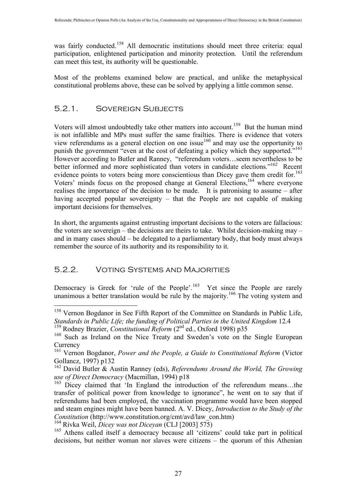was fairly conducted.<sup>158</sup> All democratic institutions should meet three criteria: equal participation, enlightened participation and minority protection. Until the referendum can meet this test, its authority will be questionable.

Most of the problems examined below are practical, and unlike the metaphysical constitutional problems above, these can be solved by applying a little common sense.

#### 5.2.1. Sovereign Subjects

Voters will almost undoubtedly take other matters into account.<sup>159</sup> But the human mind is not infallible and MPs must suffer the same frailties. There is evidence that voters view referendums as a general election on one issue<sup>160</sup> and may use the opportunity to punish the government "even at the cost of defeating a policy which they supported."<sup>161</sup> However according to Butler and Ranney, "referendum voters…seem nevertheless to be better informed and more sophisticated than voters in candidate elections."<sup>162</sup> Recent evidence points to voters being more conscientious than Dicey gave them credit for.<sup>163</sup> Voters' minds focus on the proposed change at General Elections,<sup>164</sup> where everyone realises the importance of the decision to be made. It is patronising to assume – after having accepted popular sovereignty – that the People are not capable of making important decisions for themselves.

In short, the arguments against entrusting important decisions to the voters are fallacious: the voters are sovereign – the decisions are theirs to take. Whilst decision-making may – and in many cases should – be delegated to a parliamentary body, that body must always remember the source of its authority and its responsibility to it.

#### 5.2.2. Voting Systems and Majorities

Democracy is Greek for 'rule of the People'.<sup>165</sup> Yet since the People are rarely unanimous a better translation would be rule by the majority.<sup>166</sup> The voting system and

<sup>&</sup>lt;sup>158</sup> Vernon Bogdanor in See Fifth Report of the Committee on Standards in Public Life, *Standards in Public Life; the funding of Political Parties in the United Kingdom* 12.4

<sup>&</sup>lt;sup>159</sup> Rodney Brazier, *Constitutional Reform* (2<sup>nd</sup> ed., Oxford 1998) p35

<sup>&</sup>lt;sup>160</sup> Such as Ireland on the Nice Treaty and Sweden's vote on the Single European **Currency** 

<sup>161</sup> Vernon Bogdanor, *Power and the People, a Guide to Constitutional Reform* (Victor Gollancz, 1997) p132

<sup>162</sup> David Butler & Austin Ranney (eds), *Referendums Around the World, The Growing use of Direct Democracy* (Macmillan, 1994) p18

<sup>&</sup>lt;sup>163</sup> Dicey claimed that 'In England the introduction of the referendum means...the transfer of political power from knowledge to ignorance", he went on to say that if referendums had been employed, the vaccination programme would have been stopped and steam engines might have been banned. A. V. Dicey, *Introduction to the Study of the Constitution* (http://www.constitution.org/cmt/avd/law\_con.htm)

<sup>164</sup> Rivka Weil, *Dicey was not Diceyan* (CLJ [2003] 575)

<sup>&</sup>lt;sup>165</sup> Athens called itself a democracy because all 'citizens' could take part in political decisions, but neither woman nor slaves were citizens – the quorum of this Athenian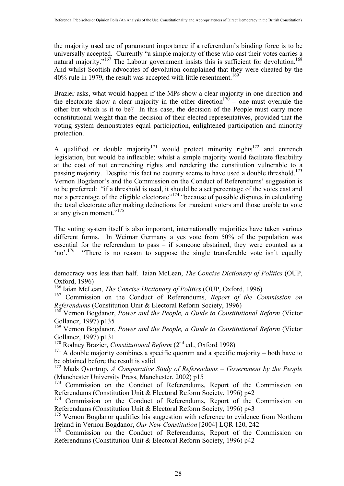the majority used are of paramount importance if a referendum's binding force is to be universally accepted. Currently "a simple majority of those who cast their votes carries a natural majority."<sup>167</sup> The Labour government insists this is sufficient for devolution.<sup>168</sup> And whilst Scottish advocates of devolution complained that they were cheated by the 40% rule in 1979, the result was accepted with little resentment.<sup>169</sup>

Brazier asks, what would happen if the MPs show a clear majority in one direction and the electorate show a clear majority in the other direction<sup>170</sup> – one must overrule the other but which is it to be? In this case, the decision of the People must carry more constitutional weight than the decision of their elected representatives, provided that the voting system demonstrates equal participation, enlightened participation and minority protection.

A qualified or double majority<sup>171</sup> would protect minority rights<sup>172</sup> and entrench legislation, but would be inflexible; whilst a simple majority would facilitate flexibility at the cost of not entrenching rights and rendering the constitution vulnerable to a passing majority. Despite this fact no country seems to have used a double threshold.<sup>173</sup> Vernon Bogdanor's and the Commission on the Conduct of Referendums' suggestion is to be preferred: "if a threshold is used, it should be a set percentage of the votes cast and not a percentage of the eligible electorate"<sup>174</sup> "because of possible disputes in calculating the total electorate after making deductions for transient voters and those unable to vote at any given moment."175

The voting system itself is also important, internationally majorities have taken various different forms. In Weimar Germany a yes vote from 50% of the population was essential for the referendum to pass – if someone abstained, they were counted as a 'no'.176 "There is no reason to suppose the single transferable vote isn't equally

democracy was less than half. Iaian McLean, *The Concise Dictionary of Politics* (OUP, Oxford, 1996)

166 Iaian McLean, *The Concise Dictionary of Politics* (OUP, Oxford, 1996)

167 Commission on the Conduct of Referendums, *Report of the Commission on Referendums* (Constitution Unit & Electoral Reform Society, 1996)

168 Vernon Bogdanor, *Power and the People, a Guide to Constitutional Reform* (Victor Gollancz, 1997) p135

169 Vernon Bogdanor, *Power and the People, a Guide to Constitutional Reform* (Victor Gollancz, 1997) p131

<sup>170</sup> Rodney Brazier, *Constitutional Reform* (2<sup>nd</sup> ed., Oxford 1998)

 $\overline{a}$ 

 $171$  A double majority combines a specific quorum and a specific majority – both have to be obtained before the result is valid.

172 Mads Qvortrup, *A Comparative Study of Referendums – Government by the People* (Manchester University Press, Manchester, 2002) p15

173 Commission on the Conduct of Referendums, Report of the Commission on Referendums (Constitution Unit & Electoral Reform Society, 1996) p42

<sup>174</sup> Commission on the Conduct of Referendums, Report of the Commission on Referendums (Constitution Unit & Electoral Reform Society, 1996) p43

<sup>175</sup> Vernon Bogdanor qualifies his suggestion with reference to evidence from Northern Ireland in Vernon Bogdanor, *Our New Constitution* [2004] LQR 120, 242

<sup>176</sup> Commission on the Conduct of Referendums, Report of the Commission on Referendums (Constitution Unit & Electoral Reform Society, 1996) p42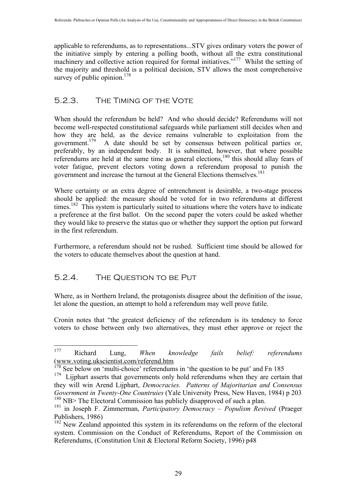applicable to referendums, as to representations...STV gives ordinary voters the power of the initiative simply by entering a polling booth, without all the extra constitutional machinery and collective action required for formal initiatives."<sup>177</sup> Whilst the setting of the majority and threshold is a political decision, STV allows the most comprehensive survey of public opinion. $178$ 

#### 5.2.3. The Timing of the Vote

When should the referendum be held? And who should decide? Referendums will not become well-respected constitutional safeguards while parliament still decides when and how they are held, as the device remains vulnerable to exploitation from the government.<sup>179</sup> A date should be set by consensus between political parties or, preferably, by an independent body. It is submitted, however, that where possible referendums are held at the same time as general elections,<sup>180</sup> this should allay fears of voter fatigue, prevent electors voting down a referendum proposal to punish the government and increase the turnout at the General Elections themselves.<sup>181</sup>

Where certainty or an extra degree of entrenchment is desirable, a two-stage process should be applied: the measure should be voted for in two referendums at different times.<sup>182</sup> This system is particularly suited to situations where the voters have to indicate a preference at the first ballot. On the second paper the voters could be asked whether they would like to preserve the status quo or whether they support the option put forward in the first referendum.

Furthermore, a referendum should not be rushed. Sufficient time should be allowed for the voters to educate themselves about the question at hand.

#### 5.2.4. The Question to be Put

Where, as in Northern Ireland, the protagonists disagree about the definition of the issue, let alone the question, an attempt to hold a referendum may well prove futile.

Cronin notes that "the greatest deficiency of the referendum is its tendency to force voters to chose between only two alternatives, they must ether approve or reject the

 <sup>177</sup> Richard Lung, *When knowledge fails belief: referendums* (www.voting.ukscientist.com/referend.htm

 $178$  See below on 'multi-choice' referendums in 'the question to be put' and Fn 185

<sup>&</sup>lt;sup>179</sup> Lijphart asserts that governments only hold referendums when they are certain that they will win Arend Lijphart, *Democracies. Patterns of Majoritarian and Consensus Government in Twenty-One Countruies* (Yale University Press, New Haven, 1984) p 203 <sup>180</sup> NB> The Electoral Commission has publicly disapproved of such a plan.

<sup>181</sup> in Joseph F. Zimmerman, *Participatory Democracy – Populism Revived* (Praeger Publishers, 1986)

<sup>&</sup>lt;sup>182</sup> New Zealand appointed this system in its referendums on the reform of the electoral system. Commission on the Conduct of Referendums, Report of the Commission on Referendums, (Constitution Unit & Electoral Reform Society, 1996) p48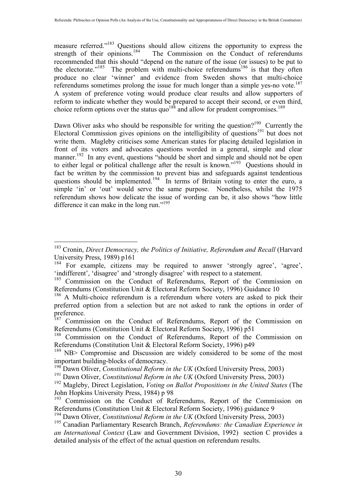measure referred."<sup>183</sup> Questions should allow citizens the opportunity to express the strength of their opinions.<sup>184</sup> The Commission on the Conduct of referendums The Commission on the Conduct of referendums recommended that this should "depend on the nature of the issue (or issues) to be put to the electorate."<sup>185</sup> The problem with multi-choice referendums<sup>186</sup> is that they often produce no clear 'winner' and evidence from Sweden shows that multi-choice referendums sometimes prolong the issue for much longer than a simple yes-no vote.<sup>187</sup> A system of preference voting would produce clear results and allow supporters of reform to indicate whether they would be prepared to accept their second, or even third, choice reform options over the status quo<sup>188</sup> and allow for prudent compromises.<sup>189</sup>

Dawn Oliver asks who should be responsible for writing the question?<sup>190</sup> Currently the Electoral Commission gives opinions on the intelligibility of questions<sup>191</sup> but does not write them. Magleby criticises some American states for placing detailed legislation in front of its voters and advocates questions worded in a general, simple and clear manner.<sup>192</sup> In any event, questions "should be short and simple and should not be open to either legal or political challenge after the result is known."<sup>193</sup> Questions should in fact be written by the commission to prevent bias and safeguards against tendentious questions should be implemented.<sup>194</sup> In terms of Britain voting to enter the euro, a simple 'in' or 'out' would serve the same purpose. Nonetheless, whilst the 1975 referendum shows how delicate the issue of wording can be, it also shows "how little difference it can make in the long run."<sup>195</sup>

<sup>&</sup>lt;sup>183</sup> Cronin, *Direct Democracy, the Politics of Initiative, Referendum and Recall* (Harvard University Press, 1989) p161

<sup>&</sup>lt;sup>184</sup> For example, citizens may be required to answer 'strongly agree', 'agree', 'indifferent', 'disagree' and 'strongly disagree' with respect to a statement.

<sup>&</sup>lt;sup>185</sup> Commission on the Conduct of Referendums, Report of the Commission on Referendums (Constitution Unit & Electoral Reform Society, 1996) Guidance 10

<sup>&</sup>lt;sup>186</sup> A Multi-choice referendum is a referendum where voters are asked to pick their preferred option from a selection but are not asked to rank the options in order of preference.

<sup>&</sup>lt;sup>187</sup> Commission on the Conduct of Referendums, Report of the Commission on Referendums (Constitution Unit & Electoral Reform Society, 1996) p51

<sup>&</sup>lt;sup>188</sup> Commission on the Conduct of Referendums, Report of the Commission on Referendums (Constitution Unit & Electoral Reform Society, 1996) p49

<sup>&</sup>lt;sup>189</sup> NB> Compromise and Discussion are widely considered to be some of the most important building-blocks of democracy.

 $^{190}$ Dawn Oliver, *Constitutional Reform in the UK* (Oxford University Press, 2003)

<sup>&</sup>lt;sup>191</sup> Dawn Oliver, *Constitutional Reform in the UK* (Oxford University Press, 2003)

<sup>192</sup> Magleby, Direct Legislation, *Voting on Ballot Propositions in the United States* (The John Hopkins University Press, 1984) p 98

<sup>&</sup>lt;sup>193</sup> Commission on the Conduct of Referendums, Report of the Commission on Referendums (Constitution Unit & Electoral Reform Society, 1996) guidance 9

<sup>&</sup>lt;sup>194</sup> Dawn Oliver, *Constitutional Reform in the UK* (Oxford University Press, 2003)

<sup>195</sup> Canadian Parliamentary Research Branch, *Referendums: the Canadian Experience in an International Context* (Law and Government Division, 1992) section C provides a detailed analysis of the effect of the actual question on referendum results.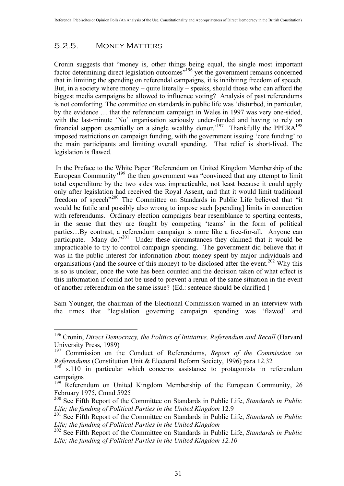#### 5.2.5. Money Matters

Cronin suggests that "money is, other things being equal, the single most important factor determining direct legislation outcomes<sup>"196</sup> yet the government remains concerned that in limiting the spending on referendal campaigns, it is inhibiting freedom of speech. But, in a society where money – quite literally – speaks, should those who can afford the biggest media campaigns be allowed to influence voting? Analysis of past referendums is not comforting. The committee on standards in public life was 'disturbed, in particular, by the evidence … that the referendum campaign in Wales in 1997 was very one-sided, with the last-minute 'No' organisation seriously under-funded and having to rely on financial support essentially on a single wealthy donor.<sup>197</sup> Thankfully the PPERA<sup>198</sup> imposed restrictions on campaign funding, with the government issuing 'core funding' to the main participants and limiting overall spending. That relief is short-lived. The legislation is flawed.

 In the Preface to the White Paper 'Referendum on United Kingdom Membership of the European Community<sup>199</sup> the then government was "convinced that any attempt to limit total expenditure by the two sides was impracticable, not least because it could apply only after legislation had received the Royal Assent, and that it would limit traditional freedom of speech"<sup>200</sup> The Committee on Standards in Public Life believed that "it would be futile and possibly also wrong to impose such [spending] limits in connection with referendums. Ordinary election campaigns bear resemblance to sporting contests, in the sense that they are fought by competing 'teams' in the form of political parties…By contrast, a referendum campaign is more like a free-for-all. Anyone can participate. Many do."<sup>201</sup> Under these circumstances they claimed that it would be impracticable to try to control campaign spending. The government did believe that it was in the public interest for information about money spent by major individuals and organisations (and the source of this money) to be disclosed after the event.<sup>202</sup> Why this is so is unclear, once the vote has been counted and the decision taken of what effect is this information if could not be used to prevent a rerun of the same situation in the event of another referendum on the same issue? {Ed.: sentence should be clarified.}

Sam Younger, the chairman of the Electional Commission warned in an interview with the times that "legislation governing campaign spending was 'flawed' and

<sup>&</sup>lt;sup>196</sup> Cronin, *Direct Democracy, the Politics of Initiative, Referendum and Recall* (Harvard University Press, 1989)

<sup>197</sup> Commission on the Conduct of Referendums, *Report of the Commission on Referendums* (Constitution Unit & Electoral Reform Society, 1996) para 12.32

 $198$  s.110 in particular which concerns assistance to protagonists in referendum campaigns

<sup>&</sup>lt;sup>199</sup> Referendum on United Kingdom Membership of the European Community, 26 February 1975, Cmnd 5925

<sup>200</sup> See Fifth Report of the Committee on Standards in Public Life, *Standards in Public*  Life; the funding of Political Parties in the United Kingdom 12.9

<sup>201</sup> See Fifth Report of the Committee on Standards in Public Life, *Standards in Public Life; the funding of Political Parties in the United Kingdom*

<sup>202</sup> See Fifth Report of the Committee on Standards in Public Life, *Standards in Public Life; the funding of Political Parties in the United Kingdom 12.10*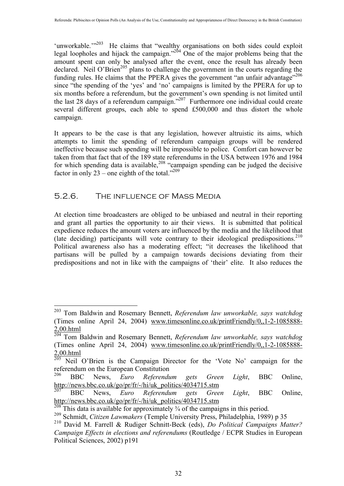'unworkable. $1203$  He claims that "wealthy organisations on both sides could exploit legal loopholes and hijack the campaign."<sup>204</sup> One of the major problems being that the amount spent can only be analysed after the event, once the result has already been declared. Neil O'Brien<sup>205</sup> plans to challenge the government in the courts regarding the funding rules. He claims that the PPERA gives the government "an unfair advantage"<sup>206</sup> since "the spending of the 'yes' and 'no' campaigns is limited by the PPERA for up to six months before a referendum, but the government's own spending is not limited until the last 28 days of a referendum campaign."<sup>207</sup> Furthermore one individual could create several different groups, each able to spend £500,000 and thus distort the whole campaign.

It appears to be the case is that any legislation, however altruistic its aims, which attempts to limit the spending of referendum campaign groups will be rendered ineffective because such spending will be impossible to police. Comfort can however be taken from that fact that of the 189 state referendums in the USA between 1976 and 1984 for which spending data is available,  $208$  "campaign spending can be judged the decisive factor in only 23 – one eighth of the total."<sup>209</sup>

#### 5.2.6. The influence of Mass Media

At election time broadcasters are obliged to be unbiased and neutral in their reporting and grant all parties the opportunity to air their views. It is submitted that political expedience reduces the amount voters are influenced by the media and the likelihood that (late deciding) participants will vote contrary to their ideological predispositions.<sup>210</sup> Political awareness also has a moderating effect; "it decreases the likelihood that partisans will be pulled by a campaign towards decisions deviating from their predispositions and not in like with the campaigns of 'their' elite. It also reduces the

 <sup>203</sup> Tom Baldwin and Rosemary Bennett, *Referendum law unworkable, says watchdog* (Times online April 24, 2004) www.timesonline.co.uk/printFriendly/0,,1-2-1085888- 2,00.html

<sup>204</sup> Tom Baldwin and Rosemary Bennett, *Referendum law unworkable, says watchdog* (Times online April 24, 2004) www.timesonline.co.uk/printFriendly/0,,1-2-1085888-  $\frac{2,00.html}{205}$  Neil

Neil O'Brien is the Campaign Director for the 'Vote No' campaign for the referendum on the European Constitution

<sup>206</sup> BBC News, *Euro Referendum gets Green Light*, BBC Online, http://news.bbc.co.uk/go/pr/fr/-/hi/uk\_politics/4034715.stm

<sup>207</sup> BBC News, *Euro Referendum gets Green Light*, BBC Online, http://news.bbc.co.uk/go/pr/fr/-/hi/uk\_politics/4034715.stm

This data is available for approximately  $\frac{3}{4}$  of the campaigns in this period.

<sup>209</sup> Schmidt, *Citizen Lawmakers* (Temple University Press, Philadelphia, 1989) p 35

<sup>210</sup> David M. Farrell & Rudiger Schnitt-Beck (eds), *Do Political Campaigns Matter? Campaign Effects in elections and referendums* (Routledge / ECPR Studies in European Political Sciences, 2002) p191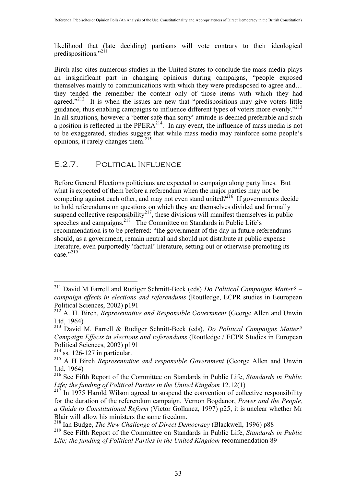likelihood that (late deciding) partisans will vote contrary to their ideological predispositions."<sup>211</sup>

Birch also cites numerous studies in the United States to conclude the mass media plays an insignificant part in changing opinions during campaigns, "people exposed themselves mainly to communications with which they were predisposed to agree and… they tended the remember the content only of those items with which they had agreed." $2^{12}$  It is when the issues are new that "predispositions may give voters little guidance, thus enabling campaigns to influence different types of voters more evenly."<sup>213</sup> In all situations, however a 'better safe than sorry' attitude is deemed preferable and such a position is reflected in the PPERA<sup>214</sup>. In any event, the influence of mass media is not to be exaggerated, studies suggest that while mass media may reinforce some people's opinions, it rarely changes them.215

#### 5.2.7. Political Influence

Before General Elections politicians are expected to campaign along party lines. But what is expected of them before a referendum when the major parties may not be competing against each other, and may not even stand united? $2^{216}$  If governments decide to hold referendums on questions on which they are themselves divided and formally suspend collective responsibility<sup>217</sup>, these divisions will manifest themselves in public speeches and campaigns.<sup>218</sup> The Committee on Standards in Public Life's recommendation is to be preferred: "the government of the day in future referendums should, as a government, remain neutral and should not distribute at public expense literature, even purportedly 'factual' literature, setting out or otherwise promoting its case $^{9219}$ 

 <sup>211</sup> David M Farrell and Rudiger Schmitt-Beck (eds) *Do Political Campaigns Matter? – campaign effects in elections and referendums* (Routledge, ECPR studies in Eeuropean Political Sciences, 2002) p191

<sup>212</sup> A. H. Birch, *Representative and Responsible Government* (George Allen and Unwin Ltd, 1964)

<sup>213</sup> David M. Farrell & Rudiger Schnitt-Beck (eds), *Do Political Campaigns Matter? Campaign Effects in elections and referendums* (Routledge / ECPR Studies in European Political Sciences, 2002) p191

 $214$  ss. 126-127 in particular.

<sup>&</sup>lt;sup>215</sup> A H Birch *Representative and responsible Government* (George Allen and Unwin Ltd, 1964)

<sup>216</sup> See Fifth Report of the Committee on Standards in Public Life, *Standards in Public Life; the funding of Political Parties in the United Kingdom* 12.12(1)

 $217$  In 1975 Harold Wilson agreed to suspend the convention of collective responsibility for the duration of the referendum campaign. Vernon Bogdanor, *Power and the People, a Guide to Constitutional Reform* (Victor Gollancz, 1997) p25, it is unclear whether Mr Blair will allow his ministers the same freedom.

<sup>218</sup> Ian Budge, *The New Challenge of Direct Democracy* (Blackwell, 1996) p88

<sup>219</sup> See Fifth Report of the Committee on Standards in Public Life, *Standards in Public Life; the funding of Political Parties in the United Kingdom* recommendation 89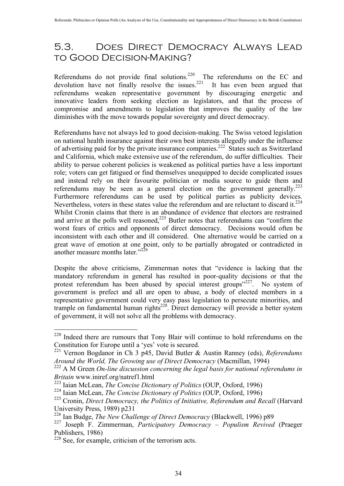## 5.3. Does Direct Democracy Always Lead to Good Decision-Making?

Referendums do not provide final solutions.<sup>220</sup> The referendums on the EC and devolution have not finally resolve the issues.<sup>221</sup> It has even been argued that referendums weaken representative government by discouraging energetic and innovative leaders from seeking election as legislators, and that the process of compromise and amendments to legislation that improves the quality of the law diminishes with the move towards popular sovereignty and direct democracy.

Referendums have not always led to good decision-making. The Swiss vetoed legislation on national health insurance against their own best interests allegedly under the influence of advertising paid for by the private insurance companies.<sup>222</sup> States such as Switzerland and California, which make extensive use of the referendum, do suffer difficulties. Their ability to persue coherent policies is weakened as political parties have a less important role; voters can get fatigued or find themselves unequipped to decide complicated issues and instead rely on their favourite politician or media source to guide them and referendums may be seen as a general election on the government generally.<sup>223</sup> Furthermore referendums can be used by political parties as publicity devices. Nevertheless, voters in these states value the referendum and are reluctant to discard it.<sup>224</sup> Whilst Cronin claims that there is an abundance of evidence that electors are restrained and arrive at the polls well reasoned, $225$  Butler notes that referendums can "confirm the worst fears of critics and opponents of direct democracy. Decisions would often be inconsistent with each other and ill considered. One alternative would be carried on a great wave of emotion at one point, only to be partially abrogated or contradicted in another measure months later."<sup>226</sup>

Despite the above criticisms, Zimmerman notes that "evidence is lacking that the mandatory referendum in general has resulted in poor-quality decisions or that the protest referendum has been abused by special interest groups"<sup>227</sup>. No system of government is prefect and all are open to abuse, a body of elected members in a representative government could very easy pass legislation to persecute minorities, and trample on fundamental human rights<sup>228</sup>. Direct democracy will provide a better system of government, it will not solve all the problems with democracy.

<sup>&</sup>lt;sup>220</sup> Indeed there are rumours that Tony Blair will continue to hold referendums on the Constitution for Europe until a 'yes' vote is secured.

<sup>221</sup> Vernon Bogdanor in Ch 3 p45, David Butler & Austin Ranney (eds), *Referendums Around the World, The Growing use of Direct Democracy* (Macmillan, 1994)

<sup>&</sup>lt;sup>222</sup> A M Green *On-line discussion concerning the legal basis for national referendums in Britain* www.iniref.org/natref1.html

<sup>223</sup> Iaian McLean, *The Concise Dictionary of Politics* (OUP, Oxford, 1996)

<sup>224</sup> Iaian McLean, *The Concise Dictionary of Politics* (OUP, Oxford, 1996)

<sup>&</sup>lt;sup>225</sup> Cronin, *Direct Democracy, the Politics of Initiative, Referendum and Recall* (Harvard University Press, 1989) p231

<sup>226</sup> Ian Budge, *The New Challenge of Direct Democracy* (Blackwell, 1996) p89

<sup>227</sup> Joseph F. Zimmerman, *Participatory Democracy – Populism Revived* (Praeger Publishers, 1986)

 $228$  See, for example, criticism of the terrorism acts.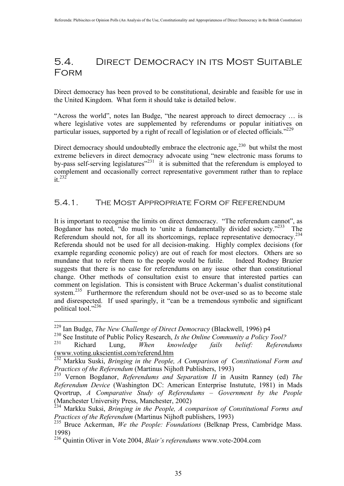## 5.4. Direct Democracy in its Most Suitable Form

Direct democracy has been proved to be constitutional, desirable and feasible for use in the United Kingdom. What form it should take is detailed below.

"Across the world", notes Ian Budge, "the nearest approach to direct democracy … is where legislative votes are supplemented by referendums or popular initiatives on particular issues, supported by a right of recall of legislation or of elected officials."<sup>229</sup>

Direct democracy should undoubtedly embrace the electronic age, $^{230}$  but whilst the most extreme believers in direct democracy advocate using "new electronic mass forums to by-pass self-serving legislatures<sup> $231$ </sup> it is submitted that the referendum is employed to complement and occasionally correct representative government rather than to replace  $it^{232}$ 

#### 5.4.1. The Most Appropriate Form of Referendum

It is important to recognise the limits on direct democracy. "The referendum cannot", as Bogdanor has noted, "do much to 'unite a fundamentally divided society."<sup>233</sup> The Referendum should not, for all its shortcomings, replace representative democracy.<sup>234</sup> Referenda should not be used for all decision-making. Highly complex decisions (for example regarding economic policy) are out of reach for most electors. Others are so mundane that to refer them to the people would be futile. Indeed Rodney Brazier suggests that there is no case for referendums on any issue other than constitutional change. Other methods of consultation exist to ensure that interested parties can comment on legislation. This is consistent with Bruce Ackerman's dualist constitutional system.<sup>235</sup> Furthermore the referendum should not be over-used so as to become stale and disrespected. If used sparingly, it "can be a tremendous symbolic and significant political tool."<sup>236</sup>

 <sup>229</sup> Ian Budge, *The New Challenge of Direct Democracy* (Blackwell, 1996) p4

<sup>230</sup> See Institute of Public Policy Research, *Is the Online Community a Policy Tool?*

<sup>231</sup> Richard Lung, *When knowledge fails belief: Referendums* (www.voting.ukscientist.com/referend.htm

<sup>232</sup> Markku Suski, *Bringing in the People, A Comparison of Constitutional Form and Practices of the Referendum* (Martinus Nijhoft Publishers, 1993)

<sup>233</sup> Vernon Bogdanor, *Referendums and Separatism II* in Ausitn Ranney (ed) *The Referendum Device* (Washington DC: American Enterprise Instutute, 1981) in Mads Qvortrup, *A Comparative Study of Referendums – Government by the People* (Manchester University Press, Manchester, 2002)

<sup>234</sup> Markku Suksi, *Bringing in the People, A comparison of Constitutional Forms and Practices of the Referendum* (Martinus Nijhoft publishers, 1993)

<sup>235</sup> Bruce Ackerman, *We the People: Foundations* (Belknap Press, Cambridge Mass. 1998)

<sup>236</sup> Quintin Oliver in Vote 2004, *Blair's referendums* www.vote-2004.com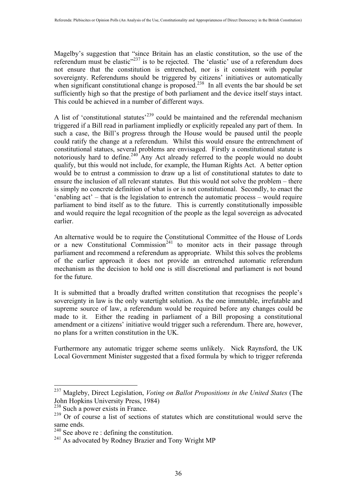Magelby's suggestion that "since Britain has an elastic constitution, so the use of the referendum must be elastic<sup>"237</sup> is to be rejected. The 'elastic' use of a referendum does not ensure that the constitution is entrenched, nor is it consistent with popular sovereignty. Referendums should be triggered by citizens' initiatives or automatically when significant constitutional change is proposed.<sup>238</sup> In all events the bar should be set sufficiently high so that the prestige of both parliament and the device itself stays intact. This could be achieved in a number of different ways.

A list of 'constitutional statutes<sup>, 239</sup> could be maintained and the referendal mechanism triggered if a Bill read in parliament impliedly or explicitly repealed any part of them. In such a case, the Bill's progress through the House would be paused until the people could ratify the change at a referendum. Whilst this would ensure the entrenchment of constitutional statues, several problems are envisaged. Firstly a constitutional statute is notoriously hard to define.<sup>240</sup> Any Act already referred to the people would no doubt qualify, but this would not include, for example, the Human Rights Act. A better option would be to entrust a commission to draw up a list of constitutional statutes to date to ensure the inclusion of all relevant statutes. But this would not solve the problem – there is simply no concrete definition of what is or is not constitutional. Secondly, to enact the 'enabling act' – that is the legislation to entrench the automatic process – would require parliament to bind itself as to the future. This is currently constitutionally impossible and would require the legal recognition of the people as the legal sovereign as advocated earlier.

An alternative would be to require the Constitutional Committee of the House of Lords or a new Constitutional Commission<sup>241</sup> to monitor acts in their passage through parliament and recommend a referendum as appropriate. Whilst this solves the problems of the earlier approach it does not provide an entrenched automatic referendum mechanism as the decision to hold one is still discretional and parliament is not bound for the future.

It is submitted that a broadly drafted written constitution that recognises the people's sovereignty in law is the only watertight solution. As the one immutable, irrefutable and supreme source of law, a referendum would be required before any changes could be made to it. Either the reading in parliament of a Bill proposing a constitutional amendment or a citizens' initiative would trigger such a referendum. There are, however, no plans for a written constitution in the UK.

Furthermore any automatic trigger scheme seems unlikely. Nick Raynsford, the UK Local Government Minister suggested that a fixed formula by which to trigger referenda

 <sup>237</sup> Magleby, Direct Legislation, *Voting on Ballot Propositions in the United States* (The John Hopkins University Press, 1984)

<sup>&</sup>lt;sup>238</sup> Such a power exists in France.

 $239$  Or of course a list of sections of statutes which are constitutional would serve the same ends.

 $240$  See above re : defining the constitution.

<sup>&</sup>lt;sup>241</sup> As advocated by Rodney Brazier and Tony Wright MP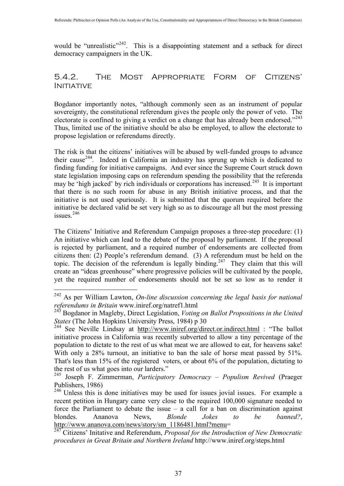would be "unrealistic"<sup>242</sup>. This is a disappointing statement and a setback for direct democracy campaigners in the UK.

#### 5.4.2. The Most Appropriate Form of Citizens' **INITIATIVE**

Bogdanor importantly notes, "although commonly seen as an instrument of popular sovereignty, the constitutional referendum gives the people only the power of veto. The electorate is confined to giving a verdict on a change that has already been endorsed."<sup>243</sup> Thus, limited use of the initiative should be also be employed, to allow the electorate to propose legislation or referendums directly.

The risk is that the citizens' initiatives will be abused by well-funded groups to advance their cause<sup>244</sup>. Indeed in California an industry has sprung up which is dedicated to finding funding for initiative campaigns. And ever since the Supreme Court struck down state legislation imposing caps on referendum spending the possibility that the referenda may be 'high jacked' by rich individuals or corporations has increased.<sup>245</sup> It is important that there is no such room for abuse in any British initiative process, and that the initiative is not used spuriously. It is submitted that the quorum required before the initiative be declared valid be set very high so as to discourage all but the most pressing issues $246$ 

The Citizens' Initiative and Referendum Campaign proposes a three-step procedure: (1) An initiative which can lead to the debate of the proposal by parliament. If the proposal is rejected by parliament, and a required number of endorsements are collected from citizens then: (2) People's referendum demand. (3) A referendum must be held on the topic. The decision of the referendum is legally binding.<sup>247</sup> They claim that this will create an "ideas greenhouse" where progressive policies will be cultivated by the people, yet the required number of endorsements should not be set so low as to render it

 <sup>242</sup> As per William Lawton, *On-line discussion concerning the legal basis for national referendums in Britain* www.iniref.org/natref1.html

<sup>243</sup> Bogdanor in Magleby, Direct Legislation, *Voting on Ballot Propositions in the United States* (The John Hopkins University Press, 1984) p 30

<sup>&</sup>lt;sup>244</sup> See Neville Lindsay at  $\frac{http://www.iniref.org/direct.or.indirect.html}{http://www.iniref.org/direct.or.indirect.html}$ : "The ballot initiative process in California was recently subverted to allow a tiny percentage of the population to dictate to the rest of us what meat we are allowed to eat, for heavens sake! With only a 28% turnout, an initiative to ban the sale of horse meat passed by 51%. That's less than 15% of the registered voters, or about 6% of the population, dictating to the rest of us what goes into our larders."

<sup>245</sup> Joseph F. Zimmerman, *Participatory Democracy – Populism Revived* (Praeger Publishers, 1986)

<sup>&</sup>lt;sup>246</sup> Unless this is done initiatives may be used for issues jovial issues. For example a recent petition in Hungary came very close to the required 100,000 signature needed to force the Parliament to debate the issue – a call for a ban on discrimination against blondes. Ananova News, *Blonde Jokes to be banned?*, http://www.ananova.com/news/story/sm\_1186481.html?menu=

<sup>247</sup> Citizens' Initative and Referendum, *Proposal for the Introduction of New Democratic procedures in Great Britain and Northern Ireland* http://www.iniref.org/steps.html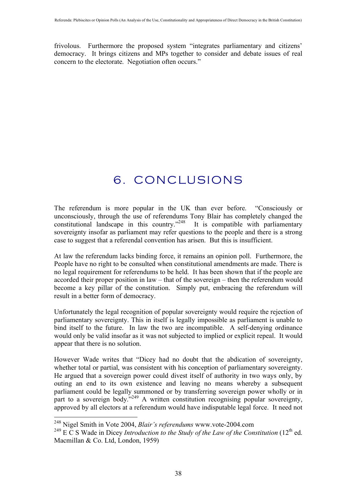frivolous. Furthermore the proposed system "integrates parliamentary and citizens' democracy. It brings citizens and MPs together to consider and debate issues of real concern to the electorate. Negotiation often occurs."

# 6. CONCLUSIONS

The referendum is more popular in the UK than ever before. "Consciously or unconsciously, through the use of referendums Tony Blair has completely changed the constitutional landscape in this country."<sup>248</sup> It is compatible with parliamentary sovereignty insofar as parliament may refer questions to the people and there is a strong case to suggest that a referendal convention has arisen. But this is insufficient.

At law the referendum lacks binding force, it remains an opinion poll. Furthermore, the People have no right to be consulted when constitutional amendments are made. There is no legal requirement for referendums to be held. It has been shown that if the people are accorded their proper position in law – that of the sovereign – then the referendum would become a key pillar of the constitution. Simply put, embracing the referendum will result in a better form of democracy.

Unfortunately the legal recognition of popular sovereignty would require the rejection of parliamentary sovereignty. This in itself is legally impossible as parliament is unable to bind itself to the future. In law the two are incompatible. A self-denying ordinance would only be valid insofar as it was not subjected to implied or explicit repeal. It would appear that there is no solution.

However Wade writes that "Dicey had no doubt that the abdication of sovereignty, whether total or partial, was consistent with his conception of parliamentary sovereignty. He argued that a sovereign power could divest itself of authority in two ways only, by outing an end to its own existence and leaving no means whereby a subsequent parliament could be legally summoned or by transferring sovereign power wholly or in part to a sovereign body."<sup>249</sup> A written constitution recognising popular sovereignty, approved by all electors at a referendum would have indisputable legal force. It need not

 <sup>248</sup> Nigel Smith in Vote 2004, *Blair's referendums* www.vote-2004.com

<sup>&</sup>lt;sup>249</sup> E C S Wade in Dicey *Introduction to the Study of the Law of the Constitution* (12<sup>th</sup> ed. Macmillan & Co. Ltd, London, 1959)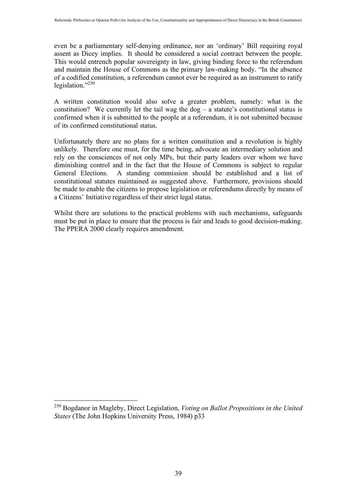even be a parliamentary self-denying ordinance, nor an 'ordinary' Bill requiring royal assent as Dicey implies. It should be considered a social contract between the people. This would entrench popular sovereignty in law, giving binding force to the referendum and maintain the House of Commons as the primary law-making body. "In the absence of a codified constitution, a referendum cannot ever be required as an instrument to ratify legislation."<sup>250</sup>

A written constitution would also solve a greater problem, namely: what is the constitution? We currently let the tail wag the  $\log - a$  statute's constitutional status is confirmed when it is submitted to the people at a referendum, it is not submitted because of its confirmed constitutional status.

Unfortunately there are no plans for a written constitution and a revolution is highly unlikely. Therefore one must, for the time being, advocate an intermediary solution and rely on the consciences of not only MPs, but their party leaders over whom we have diminishing control and in the fact that the House of Commons is subject to regular General Elections. A standing commission should be established and a list of constitutional statutes maintained as suggested above. Furthermore, provisions should be made to enable the citizens to propose legislation or referendums directly by means of a Citizens' Initiative regardless of their strict legal status.

Whilst there are solutions to the practical problems with such mechanisms, safeguards must be put in place to ensure that the process is fair and leads to good decision-making. The PPERA 2000 clearly requires amendment.

 <sup>250</sup> Bogdanor in Magleby, Direct Legislation, *Voting on Ballot Propositions in the United States* (The John Hopkins University Press, 1984) p33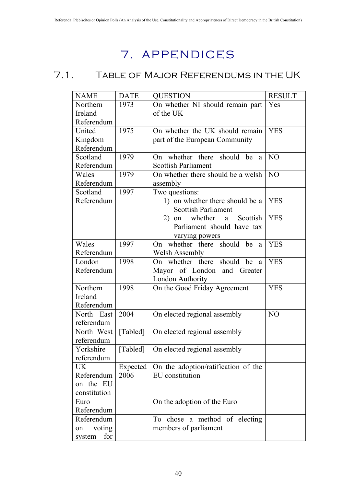# 7. APPENDICES

## 7.1. Table of Major Referendums in the UK

| <b>NAME</b>   | <b>DATE</b> | <b>QUESTION</b>                                                   | <b>RESULT</b>  |
|---------------|-------------|-------------------------------------------------------------------|----------------|
| Northern      | 1973        | On whether NI should remain part                                  | Yes            |
| Ireland       |             | of the UK                                                         |                |
| Referendum    |             |                                                                   |                |
| United        | 1975        | On whether the UK should remain                                   | <b>YES</b>     |
| Kingdom       |             | part of the European Community                                    |                |
| Referendum    |             |                                                                   |                |
| Scotland      | 1979        | On whether there should be<br>a                                   | N <sub>O</sub> |
| Referendum    |             | <b>Scottish Parliament</b>                                        |                |
| Wales         | 1979        | On whether there should be a welsh                                | N <sub>O</sub> |
| Referendum    |             | assembly                                                          |                |
| Scotland      | 1997        | Two questions:                                                    |                |
| Referendum    |             | 1) on whether there should be a                                   | <b>YES</b>     |
|               |             | <b>Scottish Parliament</b>                                        | <b>YES</b>     |
|               |             | whether<br>Scottish<br>$2)$ on<br>a<br>Parliament should have tax |                |
|               |             | varying powers                                                    |                |
| Wales         | 1997        | On whether there should be a                                      | <b>YES</b>     |
| Referendum    |             | Welsh Assembly                                                    |                |
| London        | 1998        | On whether there should be<br>a                                   | <b>YES</b>     |
| Referendum    |             | Mayor of London and Greater                                       |                |
|               |             | London Authority                                                  |                |
| Northern      | 1998        | On the Good Friday Agreement                                      | <b>YES</b>     |
| Ireland       |             |                                                                   |                |
| Referendum    |             |                                                                   |                |
| North East    | 2004        | On elected regional assembly                                      | N <sub>O</sub> |
| referendum    |             |                                                                   |                |
| North West    | [Tabled]    | On elected regional assembly                                      |                |
| referendum    |             |                                                                   |                |
| Yorkshire     | [Tabled]    | On elected regional assembly                                      |                |
| referendum    |             |                                                                   |                |
| UK            | Expected    | On the adoption/ratification of the                               |                |
| Referendum    | 2006        | EU constitution                                                   |                |
| on the EU     |             |                                                                   |                |
| constitution  |             |                                                                   |                |
| Euro          |             | On the adoption of the Euro                                       |                |
| Referendum    |             |                                                                   |                |
| Referendum    |             | chose a method of electing<br>To                                  |                |
| voting<br>on  |             | members of parliament                                             |                |
| system<br>for |             |                                                                   |                |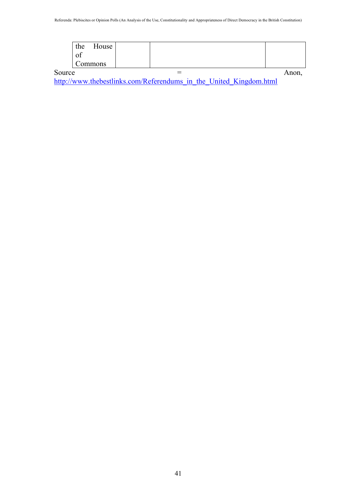|        | the<br>House<br>Οİ |  |       |
|--------|--------------------|--|-------|
|        | Commons            |  |       |
| Source |                    |  | Anon. |

http://www.thebestlinks.com/Referendums\_in\_the\_United\_Kingdom.html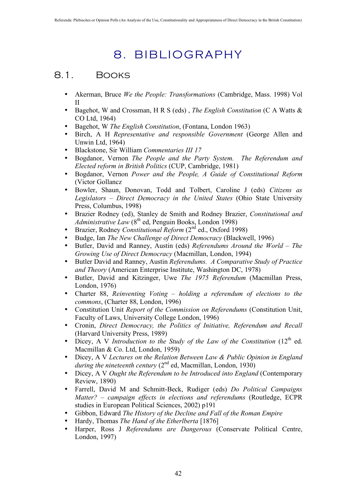# 8. BIBLIOGRAPHY

## 8.1. Books

- Akerman, Bruce *We the People: Transformations* (Cambridge, Mass. 1998) Vol II
- Bagehot, W and Crossman, H R S (eds) , *The English Constitution* (C A Watts & CO Ltd, 1964)
- Bagehot, W *The English Constitution*, (Fontana, London 1963)
- Birch, A H *Representative and responsible Government* (George Allen and Unwin Ltd, 1964)
- Blackstone, Sir William *Commentaries III 17*
- Bogdanor, Vernon *The People and the Party System. The Referendum and Elected reform in British Politics* (CUP, Cambridge, 1981)
- Bogdanor, Vernon *Power and the People, A Guide of Constitutional Reform*  (Victor Gollancz
- Bowler, Shaun, Donovan, Todd and Tolbert, Caroline J (eds) *Citizens as Legislators – Direct Democracy in the United States* (Ohio State University Press, Columbus, 1998)
- Brazier Rodney (ed), Stanley de Smith and Rodney Brazier, *Constitutional and Administrative Law* (8<sup>th</sup> ed, Penguin Books, London 1998)
- Brazier, Rodney *Constitutional Reform* (2nd ed., Oxford 1998)
- Budge, Ian *The New Challenge of Direct Democracy* (Blackwell, 1996)
- Butler, David and Ranney, Austin (eds) *Referendums Around the World The Growing Use of Direct Democracy* (Macmillan, London, 1994)
- Butler David and Ranney, Austin *Referendums. A Comparative Study of Practice and Theory* (American Enterprise Institute, Washington DC, 1978)
- Butler, David and Kitzinger, Uwe *The 1975 Referendum* (Macmillan Press, London, 1976)
- Charter 88, *Reinventing Voting holding a referendum of elections to the commons*, (Charter 88, London, 1996)
- Constitution Unit *Report of the Commission on Referendums* (Constitution Unit, Faculty of Laws, University College London, 1996)
- Cronin, *Direct Democracy, the Politics of Initiative, Referendum and Recall* (Harvard University Press, 1989)
- Dicey, A V Introduction to the Study of the Law of the Constitution (12<sup>th</sup> ed. Macmillan & Co. Ltd, London, 1959)
- Dicey, A V *Lectures on the Relation Between Law & Public Opinion in England during the nineteenth century* (2<sup>nd</sup> ed, Macmillan, London, 1930)
- Dicey, A V *Ought the Referendum to be Introduced into England* (Contemporary Review, 1890)
- Farrell, David M and Schmitt-Beck, Rudiger (eds) *Do Political Campaigns Matter? – campaign effects in elections and referendums* (Routledge, ECPR studies in European Political Sciences, 2002) p191
- Gibbon, Edward *The History of the Decline and Fall of the Roman Empire*
- Hardy, Thomas *The Hand of the Etherlberta* [1876]
- Harper, Ross J *Referendums are Dangerous* (Conservate Political Centre, London, 1997)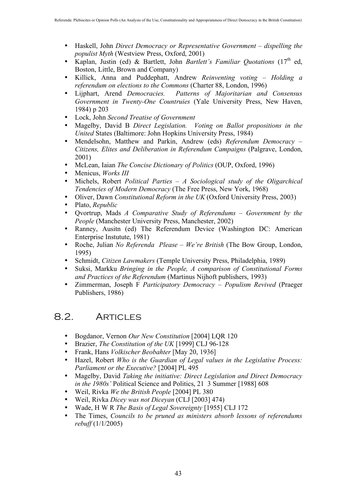- Haskell, John *Direct Democracy or Representative Government dispelling the populist Myth* (Westview Press, Oxford, 2001)
- Kaplan, Justin (ed) & Bartlett, John *Bartlett's Familiar Quotations* (17<sup>th</sup> ed, Boston, Little, Brown and Company)
- Killick, Anna and Puddephatt, Andrew *Reinventing voting Holding a referendum on elections to the Commons* (Charter 88, London, 1996)
- Lijphart, Arend *Democracies. Patterns of Majoritarian and Consensus Government in Twenty-One Countruies* (Yale University Press, New Haven, 1984) p 203
- Lock, John *Second Treatise of Government*
- Magelby, David B *Direct Legislation. Voting on Ballot propositions in the United* States (Baltimore: John Hopkins University Press, 1984)
- Mendelsohn, Matthew and Parkin, Andrew (eds) *Referendum Democracy – Citizens, Elites and Deliberation in Referendum Campaigns* (Palgrave, London, 2001)
- McLean, Iaian *The Concise Dictionary of Politics* (OUP, Oxford, 1996)
- Menicus, *Works III*
- Michels, Robert *Political Parties A Sociological study of the Oligarchical Tendencies of Modern Democracy* (The Free Press, New York, 1968)
- Oliver, Dawn *Constitutional Reform in the UK* (Oxford University Press, 2003)
- Plato, *Republic*
- Qvortrup, Mads *A Comparative Study of Referendums Government by the People* (Manchester University Press, Manchester, 2002)
- Ranney, Ausitn (ed) The Referendum Device (Washington DC: American Enterprise Instutute, 1981)
- Roche, Julian *No Referenda Please We're British* (The Bow Group, London, 1995)
- Schmidt, *Citizen Lawmakers* (Temple University Press, Philadelphia, 1989)
- Suksi, Markku *Bringing in the People, A comparison of Constitutional Forms and Practices of the Referendum* (Martinus Nijhoft publishers, 1993)
- Zimmerman, Joseph F *Participatory Democracy Populism Revived* (Praeger Publishers, 1986)

## 8.2. Articles

- Bogdanor, Vernon *Our New Constitution* [2004] LQR 120
- Brazier, *The Constitution of the UK* [1999] CLJ 96-128
- Frank, Hans *Volkischer Beobahter* [May 20, 1936]
- Hazel, Robert *Who is the Guardian of Legal values in the Legislative Process: Parliament or the Executive?* [2004] PL 495
- Magelby, David *Taking the initiative: Direct Legislation and Direct Democracy in the 1980s'* Political Science and Politics, 21 3 Summer [1988] 608
- Weil, Rivka *We the British People* [2004] PL 380
- Weil, Rivka *Dicey was not Diceyan* (CLJ [2003] 474)
- Wade, H W R *The Basis of Legal Sovereignty* [1955] CLJ 172
- The Times, *Councils to be pruned as ministers absorb lessons of referendums rebuff* (1/1/2005)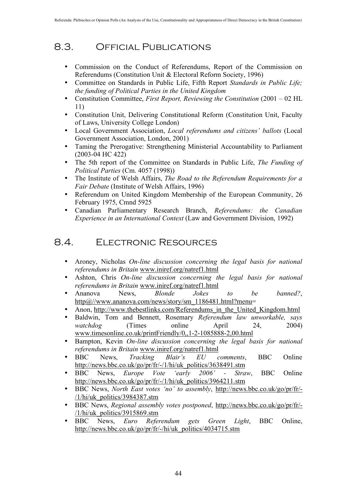## 8.3. Official Publications

- Commission on the Conduct of Referendums, Report of the Commission on Referendums (Constitution Unit & Electoral Reform Society, 1996)
- Committee on Standards in Public Life, Fifth Report *Standards in Public Life; the funding of Political Parties in the United Kingdom*
- Constitution Committee, *First Report, Reviewing the Constitution* (2001 02 HL 11)
- Constitution Unit, Delivering Constitutional Reform (Constitution Unit, Faculty of Laws, University College London)
- Local Government Association, *Local referendums and citizens' ballots* (Local Government Association, London, 2001)
- Taming the Prerogative: Strengthening Ministerial Accountability to Parliament (2003-04 HC 422)
- The 5th report of the Committee on Standards in Public Life, *The Funding of Political Parties* (Cm. 4057 (1998))
- The Institute of Welsh Affairs, *The Road to the Referendum Requirements for a Fair Debate* (Institute of Welsh Affairs, 1996)
- Referendum on United Kingdom Membership of the European Community, 26 February 1975, Cmnd 5925
- Canadian Parliamentary Research Branch, *Referendums: the Canadian Experience in an International Context* (Law and Government Division, 1992)

## 8.4. Electronic Resources

- Aroney, Nicholas *On-line discussion concerning the legal basis for national referendums in Britain* www.iniref.org/natref1.html
- Ashton, Chris *On-line discussion concerning the legal basis for national referendums in Britain* www.iniref.org/natref1.html
- Ananova News, *Blonde Jokes to be banned?*, http@//www.ananova.com/news/story/sm\_1186481.html?menu=
- Anon, http://www.thebestlinks.com/Referendums\_in\_the\_United\_Kingdom.html
- Baldwin, Tom and Bennett, Rosemary *Referendum law unworkable, says watchdog* (Times online April 24, www.timesonline.co.uk/printFriendly/0,,1-2-1085888-2,00.html
- Bampton, Kevin *On-line discussion concerning the legal basis for national referendums in Britain* www.iniref.org/natref1.html
- BBC News, *Tracking Blair's EU comments*, BBC Online http://news.bbc.co.uk/go/pr/fr/-/1/hi/uk\_politics/3638491.stm
- BBC News, *Europe Vote 'early 2006' Straw*, BBC Online http://news.bbc.co.uk/go/pr/fr/-/1/hi/uk\_politics/3964211.stm
- BBC News, *North East votes 'no' to assembly*, http://news.bbc.co.uk/go/pr/fr/- /1/hi/uk\_politics/3984387.stm
- BBC News, *Regional assembly votes postponed*, http://news.bbc.co.uk/go/pr/fr/- /1/hi/uk\_politics/3915869.stm
- BBC News, *Euro Referendum gets Green Light*, BBC Online, http://news.bbc.co.uk/go/pr/fr/-/hi/uk\_politics/4034715.stm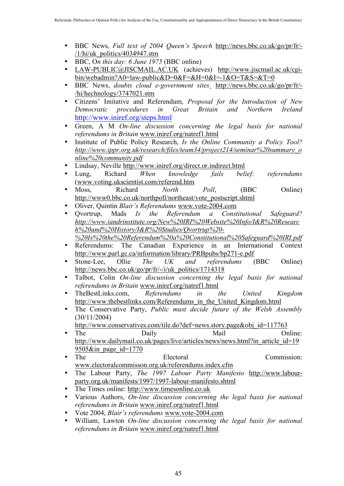- BBC News, *Full text of 2004 Queen's Speech* http://news.bbc.co.uk/go/pr/fr/- /1/hi/uk\_politics/4034947.stm
- BBC, O*n this day: 6 June 1975* (BBC online)
- LAW-PUBLIC@JISCMAIL.AC.UK (achieves) http://www.jiscmail.ac.uk/cgibin/webadmin?A0=law-public&D=0&F=&H=0&I=-1&O=T&S=&T=0
- BBC News, *doubts cloud e-government sites*¸ http://news.bbc.co.uk/go/pr/fr/- /hi/hechnology/3747021.stm
- Citizens' Imitative and Referendum, *Proposal for the Introduction of New Democratic procedures in Great Britain and Northern Ireland* http://www.iniref.org/steps.html
- Green, A M *On-line discussion concerning the legal basis for national referendums in Britain* www.iniref.org/natref1.html
- Institute of Public Policy Research, *Is the Online Community a Policy Tool? http://www.ippr.org.uk/research/files/team34/project214/seminar%20summary\_o nline%20community.pdf*
- Lindsay, Neville http://www.iniref.org/direct.or.indirect.html
- Lung, Richard *When knowledge fails belief: referendums* (www.voting.ukscientist.com/referend.htm
- Moss, Richard *North Poll*, (BBC Online) http://www0.bbc.co.uk/northpoll/northeast/vote\_postscript.shtml
- Oliver, Quintin *Blair's Referendums* www.vote-2004.com
- Qvortrup, Mads *Is the Referendum a Constitutional Safeguard? http://www.iandrinstitute.org/New%20IRI%20Website%20Info/I&R%20Researc h%20and%20History/I&R%20Studies/Qvortrup%20- %20Is%20the%20Referendum%20a%20Constitutional%20Safeguard%20IRI.pdf*
- Referendums: The Canadian Experience in an International Context http://www.parl.gc.ca/information/library/PRBpubs/bp271-e.pdf
- Stone-Lee, Ollie *The UK and referendums* (BBC Online) http://news.bbc.co.uk/go/pr/fr/-/i/uk\_politics/1714318
- Talbot, Colin *On-line discussion concerning the legal basis for national referendums in Britain* www.iniref.org/natref1.html
- TheBestLinks.com, *Referendums in the United Kingdom* http://www.thebestlinks.com/Referendums\_in\_the\_United\_Kingdom.html
- The Conservative Party, *Public must decide future of the Welsh Assembly* (30/11/2004)
	- http://www.conservatives.com/tile.do?def=news.story.page&obj\_id=117763
- The Daily Mail Online: http://www.dailymail.co.uk/pages/live/articles/news/news.html?in\_article\_id=19 9505&in page id=1770
- The Electoral Commission: www.electoralcommisson.org.uk/referendums.index.cfm
- The Labour Party, *The 1997 Labour Party Manifesto* http://www.labourparty.org.uk/manifests/1997/1997-labour-manifesto.shtml
- The Times online: http://www.timesonline.co.uk
- Various Authors, *On-line discussion concerning the legal basis for national referendums in Britain* www.iniref.org/natref1.html
- Vote 2004, *Blair's referendums* www.vote-2004.com
- William, Lawton *On-line discussion concerning the legal basis for national referendums in Britain* www.iniref.org/natref1.html